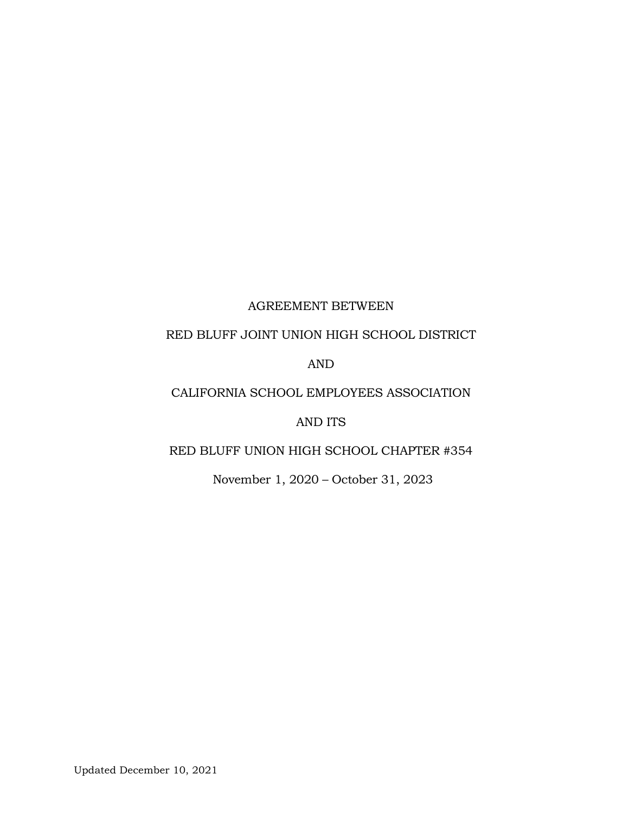# AGREEMENT BETWEEN

# RED BLUFF JOINT UNION HIGH SCHOOL DISTRICT

# AND

# CALIFORNIA SCHOOL EMPLOYEES ASSOCIATION

# AND ITS

# RED BLUFF UNION HIGH SCHOOL CHAPTER #354

November 1, 2020 – October 31, 2023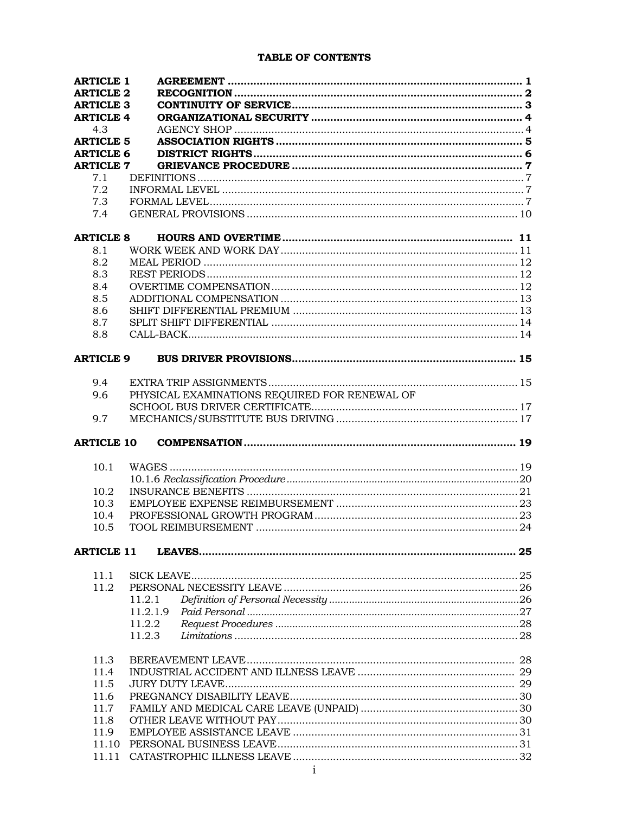# TABLE OF CONTENTS

| <b>ARTICLE 1</b>  |                                               |  |
|-------------------|-----------------------------------------------|--|
| <b>ARTICLE 2</b>  |                                               |  |
| <b>ARTICLE 3</b>  |                                               |  |
| <b>ARTICLE 4</b>  |                                               |  |
| 4.3               |                                               |  |
| <b>ARTICLE 5</b>  |                                               |  |
| <b>ARTICLE 6</b>  |                                               |  |
| <b>ARTICLE 7</b>  |                                               |  |
| 7.1               |                                               |  |
| 7.2               |                                               |  |
| 7.3               |                                               |  |
| 7.4               |                                               |  |
|                   |                                               |  |
| <b>ARTICLE 8</b>  |                                               |  |
| 8.1               |                                               |  |
| 8.2               |                                               |  |
| 8.3               |                                               |  |
| 8.4               |                                               |  |
| 8.5               |                                               |  |
| 8.6               |                                               |  |
| 8.7               |                                               |  |
| 8.8               |                                               |  |
|                   |                                               |  |
| <b>ARTICLE 9</b>  |                                               |  |
| 9.4               |                                               |  |
| 9.6               | PHYSICAL EXAMINATIONS REQUIRED FOR RENEWAL OF |  |
|                   |                                               |  |
|                   |                                               |  |
|                   |                                               |  |
| 9.7               |                                               |  |
| <b>ARTICLE 10</b> |                                               |  |
|                   |                                               |  |
| 10.1              |                                               |  |
|                   |                                               |  |
| 10.2              |                                               |  |
| 10.3              |                                               |  |
| 10.4              |                                               |  |
| 10.5              |                                               |  |
| <b>ARTICLE 11</b> |                                               |  |
|                   |                                               |  |
| 11.1              |                                               |  |
| 11.2              |                                               |  |
|                   | 11.2.1                                        |  |
|                   | 11.2.1.9                                      |  |
|                   | 11.2.2                                        |  |
|                   | 11.2.3                                        |  |
|                   |                                               |  |
| 11.3              |                                               |  |
| 11.4              |                                               |  |
| 11.5              |                                               |  |
| 11.6              |                                               |  |
| 11.7              |                                               |  |
| 11.8              |                                               |  |
| 11.9              |                                               |  |
| 11.10<br>11.11    |                                               |  |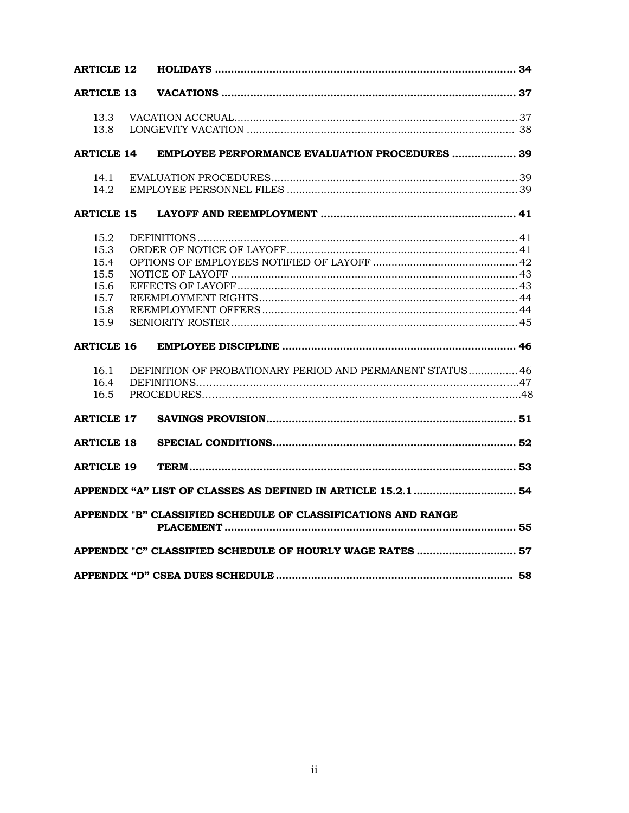| <b>ARTICLE 12</b>                                             |  |                                                               |  |
|---------------------------------------------------------------|--|---------------------------------------------------------------|--|
| <b>ARTICLE 13</b>                                             |  |                                                               |  |
| 13.3<br>13.8                                                  |  |                                                               |  |
| <b>ARTICLE 14</b>                                             |  | <b>EMPLOYEE PERFORMANCE EVALUATION PROCEDURES  39</b>         |  |
| 14.1<br>14.2                                                  |  |                                                               |  |
| <b>ARTICLE 15</b>                                             |  |                                                               |  |
| 15.2<br>15.3<br>15.4<br>15.5<br>15.6<br>15.7<br>15.8<br>15.9  |  |                                                               |  |
| <b>ARTICLE 16</b>                                             |  |                                                               |  |
| 16.1<br>16.4<br>16.5                                          |  | DEFINITION OF PROBATIONARY PERIOD AND PERMANENT STATUS 46     |  |
| <b>ARTICLE 17</b>                                             |  |                                                               |  |
| <b>ARTICLE 18</b>                                             |  |                                                               |  |
| <b>ARTICLE 19</b>                                             |  |                                                               |  |
|                                                               |  | APPENDIX "A" LIST OF CLASSES AS DEFINED IN ARTICLE 15.2.1  54 |  |
| APPENDIX "B" CLASSIFIED SCHEDULE OF CLASSIFICATIONS AND RANGE |  |                                                               |  |
| APPENDIX "C" CLASSIFIED SCHEDULE OF HOURLY WAGE RATES  57     |  |                                                               |  |
|                                                               |  |                                                               |  |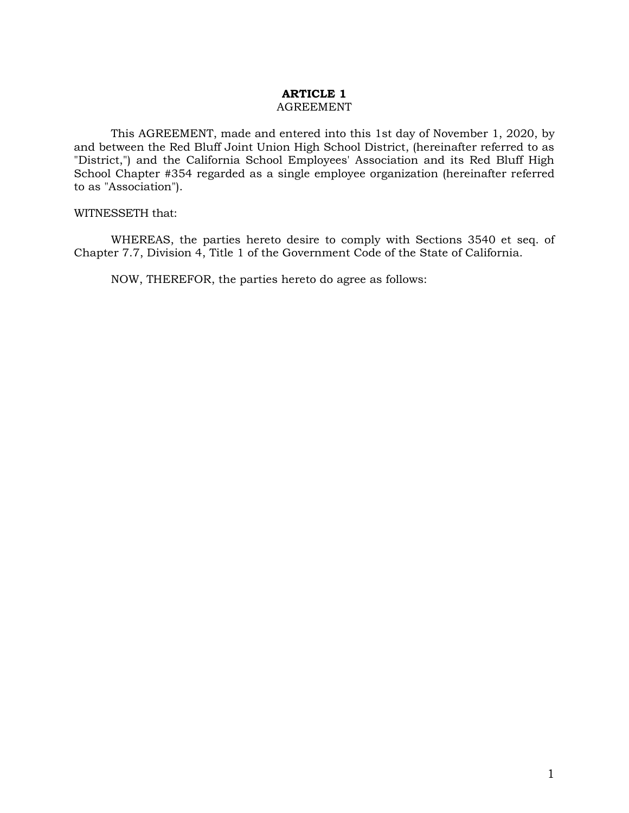#### **ARTICLE 1** AGREEMENT

This AGREEMENT, made and entered into this 1st day of November 1, 2020, by and between the Red Bluff Joint Union High School District, (hereinafter referred to as "District,") and the California School Employees' Association and its Red Bluff High School Chapter #354 regarded as a single employee organization (hereinafter referred to as "Association").

#### WITNESSETH that:

WHEREAS, the parties hereto desire to comply with Sections 3540 et seq. of Chapter 7.7, Division 4, Title 1 of the Government Code of the State of California.

NOW, THEREFOR, the parties hereto do agree as follows: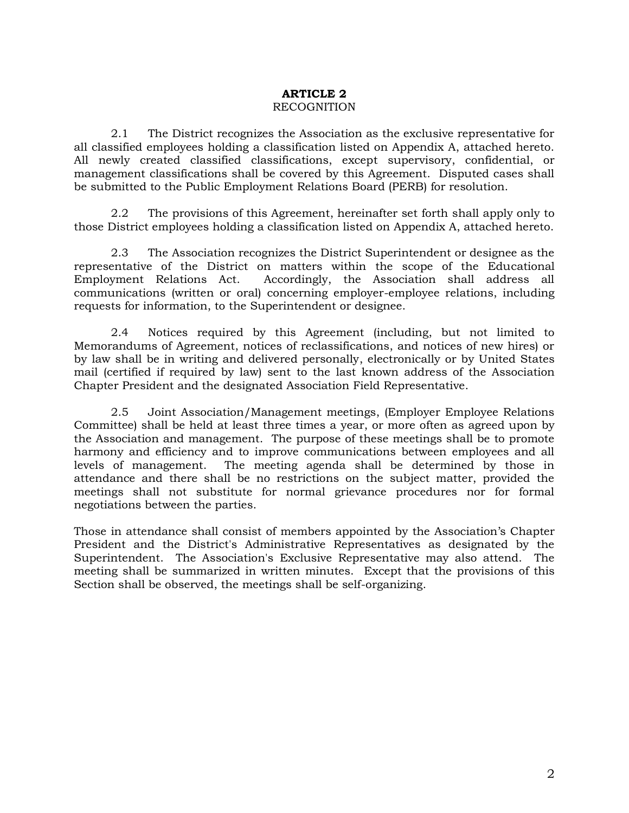# **ARTICLE 2**  RECOGNITION

2.1 The District recognizes the Association as the exclusive representative for all classified employees holding a classification listed on Appendix A, attached hereto. All newly created classified classifications, except supervisory, confidential, or management classifications shall be covered by this Agreement. Disputed cases shall be submitted to the Public Employment Relations Board (PERB) for resolution.

2.2 The provisions of this Agreement, hereinafter set forth shall apply only to those District employees holding a classification listed on Appendix A, attached hereto.

2.3 The Association recognizes the District Superintendent or designee as the representative of the District on matters within the scope of the Educational Employment Relations Act. Accordingly, the Association shall address all communications (written or oral) concerning employer-employee relations, including requests for information, to the Superintendent or designee.

2.4 Notices required by this Agreement (including, but not limited to Memorandums of Agreement, notices of reclassifications, and notices of new hires) or by law shall be in writing and delivered personally, electronically or by United States mail (certified if required by law) sent to the last known address of the Association Chapter President and the designated Association Field Representative.

2.5 Joint Association/Management meetings, (Employer Employee Relations Committee) shall be held at least three times a year, or more often as agreed upon by the Association and management. The purpose of these meetings shall be to promote harmony and efficiency and to improve communications between employees and all levels of management. The meeting agenda shall be determined by those in attendance and there shall be no restrictions on the subject matter, provided the meetings shall not substitute for normal grievance procedures nor for formal negotiations between the parties.

Those in attendance shall consist of members appointed by the Association's Chapter President and the District's Administrative Representatives as designated by the Superintendent. The Association's Exclusive Representative may also attend. The meeting shall be summarized in written minutes. Except that the provisions of this Section shall be observed, the meetings shall be self-organizing.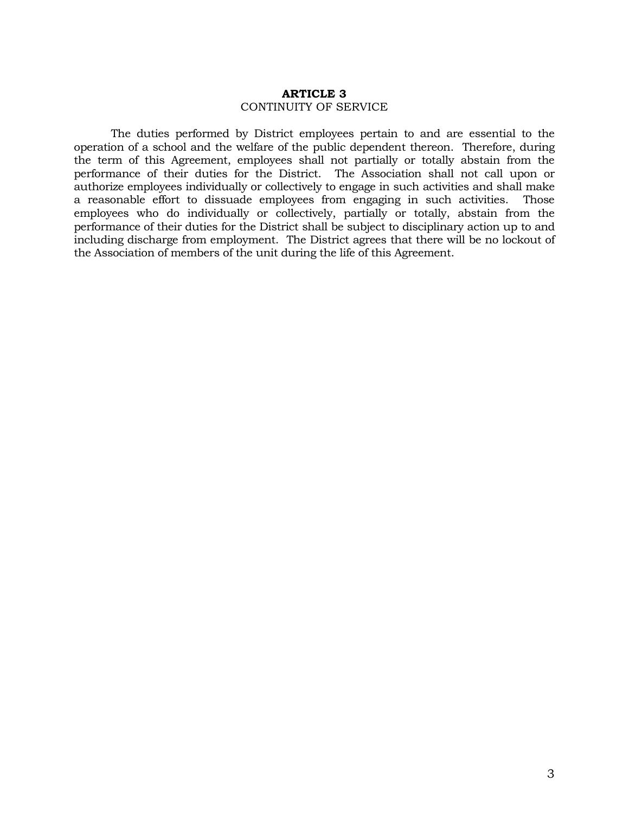#### **ARTICLE 3** CONTINUITY OF SERVICE

The duties performed by District employees pertain to and are essential to the operation of a school and the welfare of the public dependent thereon. Therefore, during the term of this Agreement, employees shall not partially or totally abstain from the performance of their duties for the District. The Association shall not call upon or authorize employees individually or collectively to engage in such activities and shall make a reasonable effort to dissuade employees from engaging in such activities. Those employees who do individually or collectively, partially or totally, abstain from the performance of their duties for the District shall be subject to disciplinary action up to and including discharge from employment. The District agrees that there will be no lockout of the Association of members of the unit during the life of this Agreement.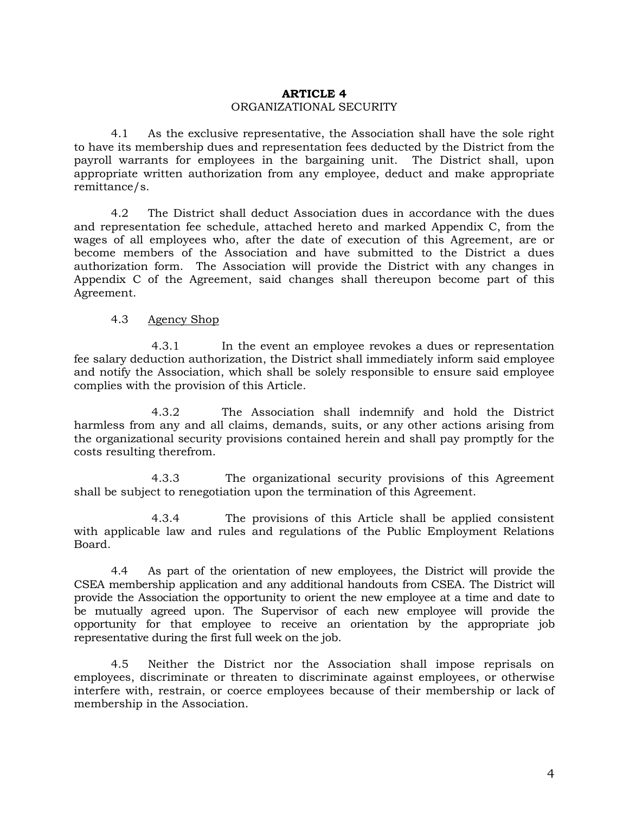# **ARTICLE 4**  ORGANIZATIONAL SECURITY

4.1 As the exclusive representative, the Association shall have the sole right to have its membership dues and representation fees deducted by the District from the payroll warrants for employees in the bargaining unit. The District shall, upon appropriate written authorization from any employee, deduct and make appropriate remittance/s.

4.2 The District shall deduct Association dues in accordance with the dues and representation fee schedule, attached hereto and marked Appendix C, from the wages of all employees who, after the date of execution of this Agreement, are or become members of the Association and have submitted to the District a dues authorization form. The Association will provide the District with any changes in Appendix C of the Agreement, said changes shall thereupon become part of this Agreement.

#### 4.3 Agency Shop

4.3.1 In the event an employee revokes a dues or representation fee salary deduction authorization, the District shall immediately inform said employee and notify the Association, which shall be solely responsible to ensure said employee complies with the provision of this Article.

4.3.2 The Association shall indemnify and hold the District harmless from any and all claims, demands, suits, or any other actions arising from the organizational security provisions contained herein and shall pay promptly for the costs resulting therefrom.

4.3.3 The organizational security provisions of this Agreement shall be subject to renegotiation upon the termination of this Agreement.

4.3.4 The provisions of this Article shall be applied consistent with applicable law and rules and regulations of the Public Employment Relations Board.

4.4 As part of the orientation of new employees, the District will provide the CSEA membership application and any additional handouts from CSEA. The District will provide the Association the opportunity to orient the new employee at a time and date to be mutually agreed upon. The Supervisor of each new employee will provide the opportunity for that employee to receive an orientation by the appropriate job representative during the first full week on the job.

4.5 Neither the District nor the Association shall impose reprisals on employees, discriminate or threaten to discriminate against employees, or otherwise interfere with, restrain, or coerce employees because of their membership or lack of membership in the Association.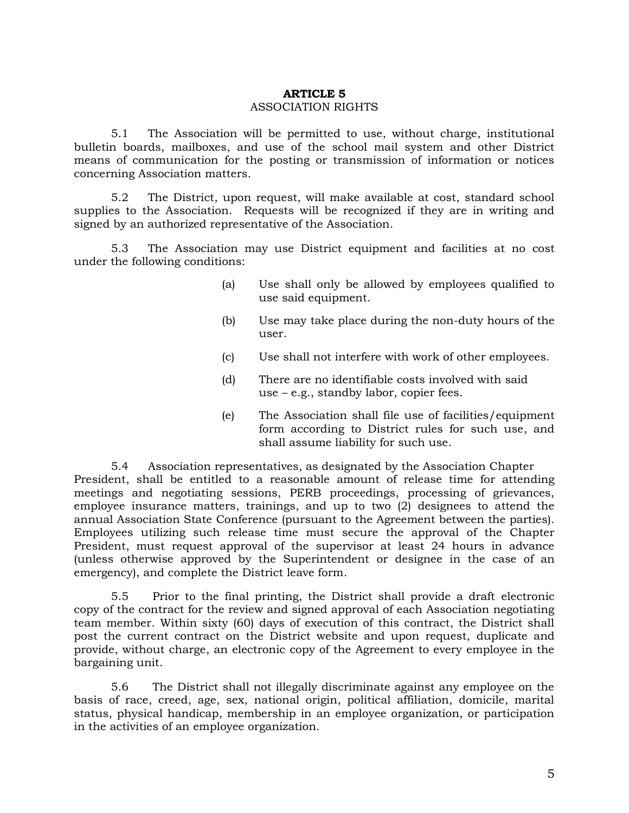# **ARTICLE 5** ASSOCIATION RIGHTS

5.1 The Association will be permitted to use, without charge, institutional bulletin boards, mailboxes, and use of the school mail system and other District means of communication for the posting or transmission of information or notices concerning Association matters.

5.2 The District, upon request, will make available at cost, standard school supplies to the Association. Requests will be recognized if they are in writing and signed by an authorized representative of the Association.

5.3 The Association may use District equipment and facilities at no cost under the following conditions:

- (a) Use shall only be allowed by employees qualified to use said equipment.
- (b) Use may take place during the non-duty hours of the user.
- (c) Use shall not interfere with work of other employees.
- (d) There are no identifiable costs involved with said use – e.g., standby labor, copier fees.
- (e) The Association shall file use of facilities/equipment form according to District rules for such use, and shall assume liability for such use.

5.4 Association representatives, as designated by the Association Chapter President, shall be entitled to a reasonable amount of release time for attending meetings and negotiating sessions, PERB proceedings, processing of grievances, employee insurance matters, trainings, and up to two (2) designees to attend the annual Association State Conference (pursuant to the Agreement between the parties). Employees utilizing such release time must secure the approval of the Chapter President, must request approval of the supervisor at least 24 hours in advance (unless otherwise approved by the Superintendent or designee in the case of an emergency), and complete the District leave form.

5.5 Prior to the final printing, the District shall provide a draft electronic copy of the contract for the review and signed approval of each Association negotiating team member. Within sixty (60) days of execution of this contract, the District shall post the current contract on the District website and upon request, duplicate and provide, without charge, an electronic copy of the Agreement to every employee in the bargaining unit.

5.6 The District shall not illegally discriminate against any employee on the basis of race, creed, age, sex, national origin, political affiliation, domicile, marital status, physical handicap, membership in an employee organization, or participation in the activities of an employee organization.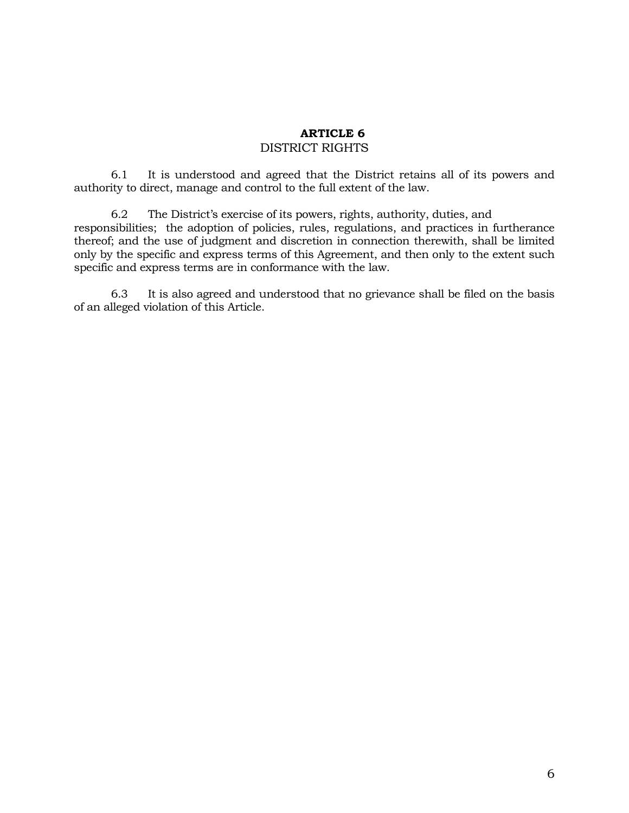# **ARTICLE 6** DISTRICT RIGHTS

6.1 It is understood and agreed that the District retains all of its powers and authority to direct, manage and control to the full extent of the law.

6.2 The District's exercise of its powers, rights, authority, duties, and responsibilities; the adoption of policies, rules, regulations, and practices in furtherance thereof; and the use of judgment and discretion in connection therewith, shall be limited only by the specific and express terms of this Agreement, and then only to the extent such specific and express terms are in conformance with the law.

6.3 It is also agreed and understood that no grievance shall be filed on the basis of an alleged violation of this Article.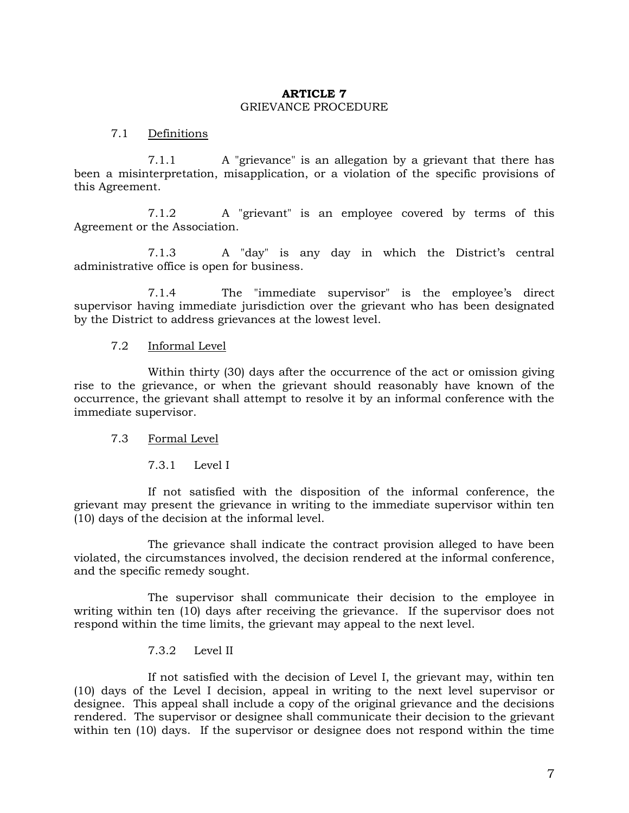# **ARTICLE 7**  GRIEVANCE PROCEDURE

### 7.1 Definitions

7.1.1 A "grievance" is an allegation by a grievant that there has been a misinterpretation, misapplication, or a violation of the specific provisions of this Agreement.

7.1.2 A "grievant" is an employee covered by terms of this Agreement or the Association.

7.1.3 A "day" is any day in which the District's central administrative office is open for business.

7.1.4 The "immediate supervisor" is the employee's direct supervisor having immediate jurisdiction over the grievant who has been designated by the District to address grievances at the lowest level.

# 7.2 Informal Level

Within thirty (30) days after the occurrence of the act or omission giving rise to the grievance, or when the grievant should reasonably have known of the occurrence, the grievant shall attempt to resolve it by an informal conference with the immediate supervisor.

#### 7.3 Formal Level

7.3.1 Level I

If not satisfied with the disposition of the informal conference, the grievant may present the grievance in writing to the immediate supervisor within ten (10) days of the decision at the informal level.

The grievance shall indicate the contract provision alleged to have been violated, the circumstances involved, the decision rendered at the informal conference, and the specific remedy sought.

The supervisor shall communicate their decision to the employee in writing within ten (10) days after receiving the grievance. If the supervisor does not respond within the time limits, the grievant may appeal to the next level.

#### 7.3.2 Level II

If not satisfied with the decision of Level I, the grievant may, within ten (10) days of the Level I decision, appeal in writing to the next level supervisor or designee. This appeal shall include a copy of the original grievance and the decisions rendered. The supervisor or designee shall communicate their decision to the grievant within ten (10) days. If the supervisor or designee does not respond within the time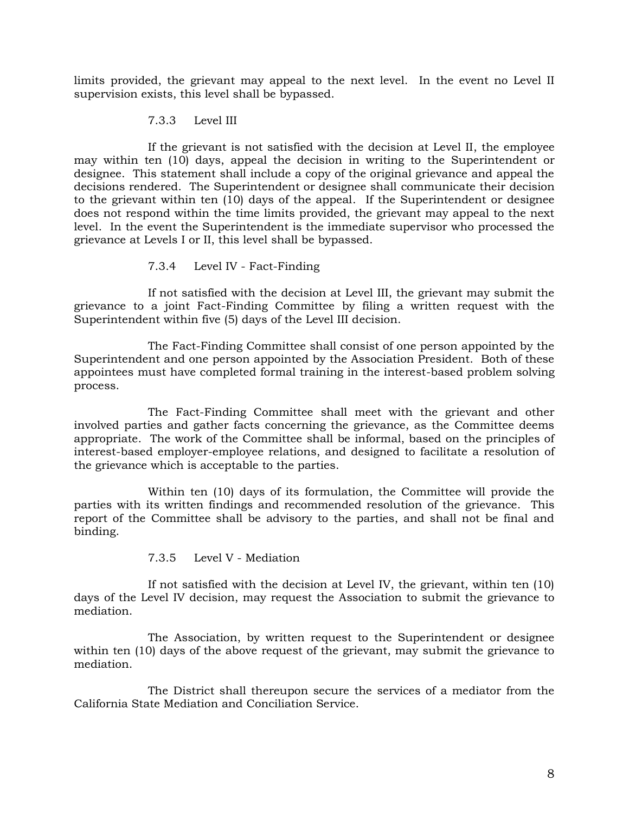limits provided, the grievant may appeal to the next level. In the event no Level II supervision exists, this level shall be bypassed.

# 7.3.3 Level III

If the grievant is not satisfied with the decision at Level II, the employee may within ten (10) days, appeal the decision in writing to the Superintendent or designee. This statement shall include a copy of the original grievance and appeal the decisions rendered. The Superintendent or designee shall communicate their decision to the grievant within ten (10) days of the appeal. If the Superintendent or designee does not respond within the time limits provided, the grievant may appeal to the next level. In the event the Superintendent is the immediate supervisor who processed the grievance at Levels I or II, this level shall be bypassed.

# 7.3.4 Level IV - Fact-Finding

If not satisfied with the decision at Level III, the grievant may submit the grievance to a joint Fact-Finding Committee by filing a written request with the Superintendent within five (5) days of the Level III decision.

The Fact-Finding Committee shall consist of one person appointed by the Superintendent and one person appointed by the Association President. Both of these appointees must have completed formal training in the interest-based problem solving process.

The Fact-Finding Committee shall meet with the grievant and other involved parties and gather facts concerning the grievance, as the Committee deems appropriate. The work of the Committee shall be informal, based on the principles of interest-based employer-employee relations, and designed to facilitate a resolution of the grievance which is acceptable to the parties.

Within ten (10) days of its formulation, the Committee will provide the parties with its written findings and recommended resolution of the grievance. This report of the Committee shall be advisory to the parties, and shall not be final and binding.

# 7.3.5 Level V - Mediation

If not satisfied with the decision at Level IV, the grievant, within ten (10) days of the Level IV decision, may request the Association to submit the grievance to mediation.

The Association, by written request to the Superintendent or designee within ten (10) days of the above request of the grievant, may submit the grievance to mediation.

The District shall thereupon secure the services of a mediator from the California State Mediation and Conciliation Service.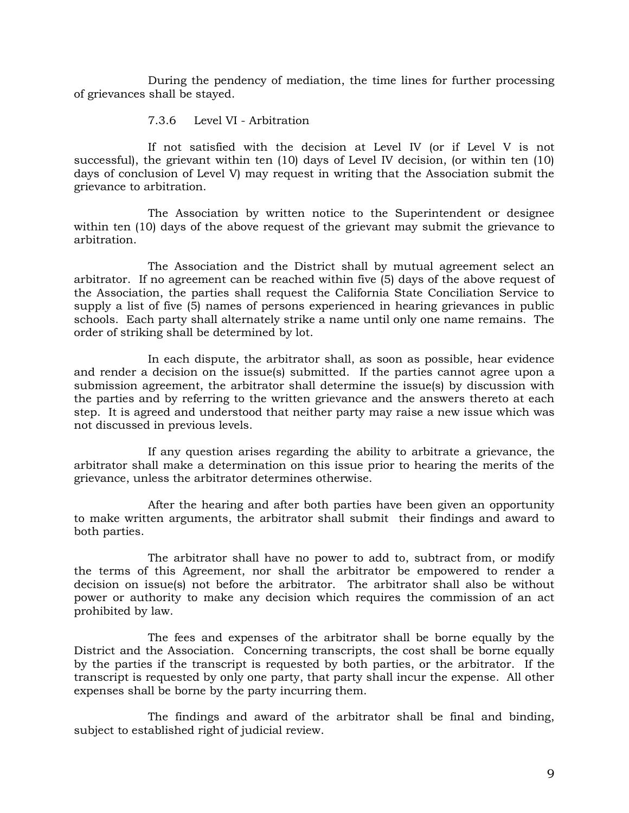During the pendency of mediation, the time lines for further processing of grievances shall be stayed.

#### 7.3.6 Level VI - Arbitration

If not satisfied with the decision at Level IV (or if Level V is not successful), the grievant within ten (10) days of Level IV decision, (or within ten (10) days of conclusion of Level V) may request in writing that the Association submit the grievance to arbitration.

The Association by written notice to the Superintendent or designee within ten (10) days of the above request of the grievant may submit the grievance to arbitration.

The Association and the District shall by mutual agreement select an arbitrator. If no agreement can be reached within five (5) days of the above request of the Association, the parties shall request the California State Conciliation Service to supply a list of five (5) names of persons experienced in hearing grievances in public schools. Each party shall alternately strike a name until only one name remains. The order of striking shall be determined by lot.

In each dispute, the arbitrator shall, as soon as possible, hear evidence and render a decision on the issue(s) submitted. If the parties cannot agree upon a submission agreement, the arbitrator shall determine the issue(s) by discussion with the parties and by referring to the written grievance and the answers thereto at each step. It is agreed and understood that neither party may raise a new issue which was not discussed in previous levels.

If any question arises regarding the ability to arbitrate a grievance, the arbitrator shall make a determination on this issue prior to hearing the merits of the grievance, unless the arbitrator determines otherwise.

After the hearing and after both parties have been given an opportunity to make written arguments, the arbitrator shall submit their findings and award to both parties.

The arbitrator shall have no power to add to, subtract from, or modify the terms of this Agreement, nor shall the arbitrator be empowered to render a decision on issue(s) not before the arbitrator. The arbitrator shall also be without power or authority to make any decision which requires the commission of an act prohibited by law.

The fees and expenses of the arbitrator shall be borne equally by the District and the Association. Concerning transcripts, the cost shall be borne equally by the parties if the transcript is requested by both parties, or the arbitrator. If the transcript is requested by only one party, that party shall incur the expense. All other expenses shall be borne by the party incurring them.

The findings and award of the arbitrator shall be final and binding, subject to established right of judicial review.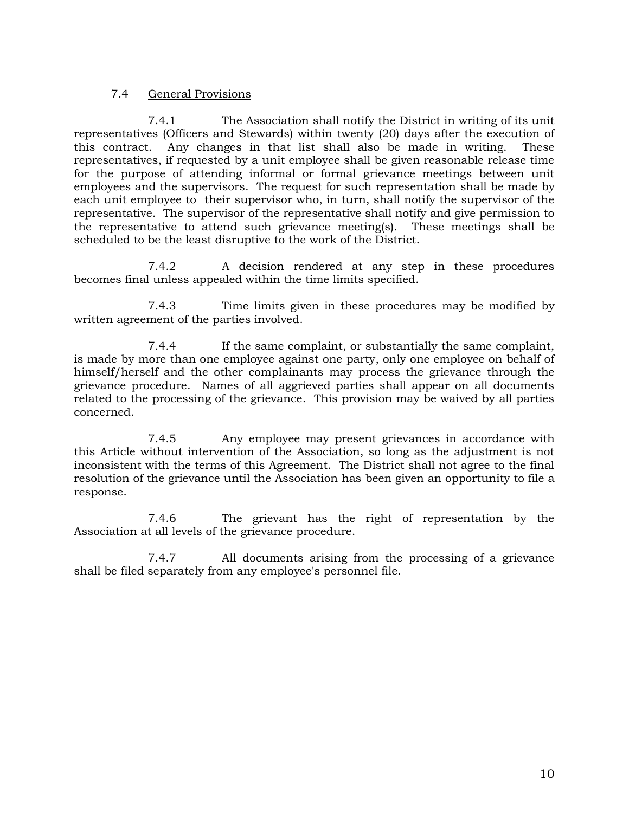# 7.4 General Provisions

7.4.1 The Association shall notify the District in writing of its unit representatives (Officers and Stewards) within twenty (20) days after the execution of this contract. Any changes in that list shall also be made in writing. These representatives, if requested by a unit employee shall be given reasonable release time for the purpose of attending informal or formal grievance meetings between unit employees and the supervisors. The request for such representation shall be made by each unit employee to their supervisor who, in turn, shall notify the supervisor of the representative. The supervisor of the representative shall notify and give permission to the representative to attend such grievance meeting(s). These meetings shall be scheduled to be the least disruptive to the work of the District.

7.4.2 A decision rendered at any step in these procedures becomes final unless appealed within the time limits specified.

7.4.3 Time limits given in these procedures may be modified by written agreement of the parties involved.

7.4.4 If the same complaint, or substantially the same complaint, is made by more than one employee against one party, only one employee on behalf of himself/herself and the other complainants may process the grievance through the grievance procedure. Names of all aggrieved parties shall appear on all documents related to the processing of the grievance. This provision may be waived by all parties concerned.

7.4.5 Any employee may present grievances in accordance with this Article without intervention of the Association, so long as the adjustment is not inconsistent with the terms of this Agreement. The District shall not agree to the final resolution of the grievance until the Association has been given an opportunity to file a response.

7.4.6 The grievant has the right of representation by the Association at all levels of the grievance procedure.

7.4.7 All documents arising from the processing of a grievance shall be filed separately from any employee's personnel file.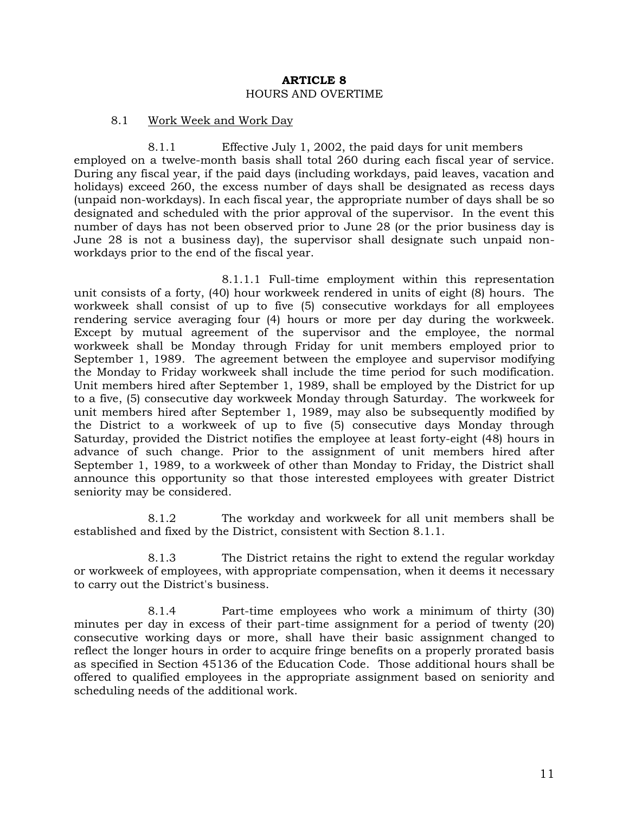#### **ARTICLE 8** HOURS AND OVERTIME

#### 8.1 Work Week and Work Day

8.1.1 Effective July 1, 2002, the paid days for unit members employed on a twelve-month basis shall total 260 during each fiscal year of service. During any fiscal year, if the paid days (including workdays, paid leaves, vacation and holidays) exceed 260, the excess number of days shall be designated as recess days (unpaid non-workdays). In each fiscal year, the appropriate number of days shall be so designated and scheduled with the prior approval of the supervisor. In the event this number of days has not been observed prior to June 28 (or the prior business day is June 28 is not a business day), the supervisor shall designate such unpaid nonworkdays prior to the end of the fiscal year.

8.1.1.1 Full-time employment within this representation unit consists of a forty, (40) hour workweek rendered in units of eight (8) hours. The workweek shall consist of up to five (5) consecutive workdays for all employees rendering service averaging four (4) hours or more per day during the workweek. Except by mutual agreement of the supervisor and the employee, the normal workweek shall be Monday through Friday for unit members employed prior to September 1, 1989. The agreement between the employee and supervisor modifying the Monday to Friday workweek shall include the time period for such modification. Unit members hired after September 1, 1989, shall be employed by the District for up to a five, (5) consecutive day workweek Monday through Saturday. The workweek for unit members hired after September 1, 1989, may also be subsequently modified by the District to a workweek of up to five (5) consecutive days Monday through Saturday, provided the District notifies the employee at least forty-eight (48) hours in advance of such change. Prior to the assignment of unit members hired after September 1, 1989, to a workweek of other than Monday to Friday, the District shall announce this opportunity so that those interested employees with greater District seniority may be considered.

8.1.2 The workday and workweek for all unit members shall be established and fixed by the District, consistent with Section 8.1.1.

8.1.3 The District retains the right to extend the regular workday or workweek of employees, with appropriate compensation, when it deems it necessary to carry out the District's business.

8.1.4 Part-time employees who work a minimum of thirty (30) minutes per day in excess of their part-time assignment for a period of twenty (20) consecutive working days or more, shall have their basic assignment changed to reflect the longer hours in order to acquire fringe benefits on a properly prorated basis as specified in Section 45136 of the Education Code. Those additional hours shall be offered to qualified employees in the appropriate assignment based on seniority and scheduling needs of the additional work.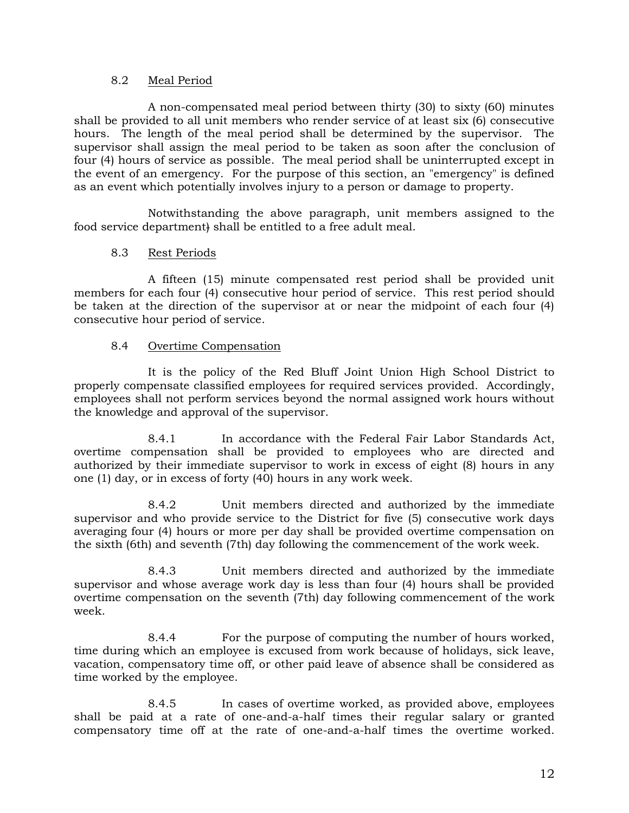# 8.2 Meal Period

A non-compensated meal period between thirty (30) to sixty (60) minutes shall be provided to all unit members who render service of at least six (6) consecutive hours. The length of the meal period shall be determined by the supervisor. The supervisor shall assign the meal period to be taken as soon after the conclusion of four (4) hours of service as possible. The meal period shall be uninterrupted except in the event of an emergency. For the purpose of this section, an "emergency" is defined as an event which potentially involves injury to a person or damage to property.

Notwithstanding the above paragraph, unit members assigned to the food service department) shall be entitled to a free adult meal.

# 8.3 Rest Periods

A fifteen (15) minute compensated rest period shall be provided unit members for each four (4) consecutive hour period of service. This rest period should be taken at the direction of the supervisor at or near the midpoint of each four (4) consecutive hour period of service.

# 8.4 Overtime Compensation

It is the policy of the Red Bluff Joint Union High School District to properly compensate classified employees for required services provided. Accordingly, employees shall not perform services beyond the normal assigned work hours without the knowledge and approval of the supervisor.

8.4.1 In accordance with the Federal Fair Labor Standards Act, overtime compensation shall be provided to employees who are directed and authorized by their immediate supervisor to work in excess of eight (8) hours in any one (1) day, or in excess of forty (40) hours in any work week.

8.4.2 Unit members directed and authorized by the immediate supervisor and who provide service to the District for five (5) consecutive work days averaging four (4) hours or more per day shall be provided overtime compensation on the sixth (6th) and seventh (7th) day following the commencement of the work week.

8.4.3 Unit members directed and authorized by the immediate supervisor and whose average work day is less than four (4) hours shall be provided overtime compensation on the seventh (7th) day following commencement of the work week.

8.4.4 For the purpose of computing the number of hours worked, time during which an employee is excused from work because of holidays, sick leave, vacation, compensatory time off, or other paid leave of absence shall be considered as time worked by the employee.

8.4.5 In cases of overtime worked, as provided above, employees shall be paid at a rate of one-and-a-half times their regular salary or granted compensatory time off at the rate of one-and-a-half times the overtime worked.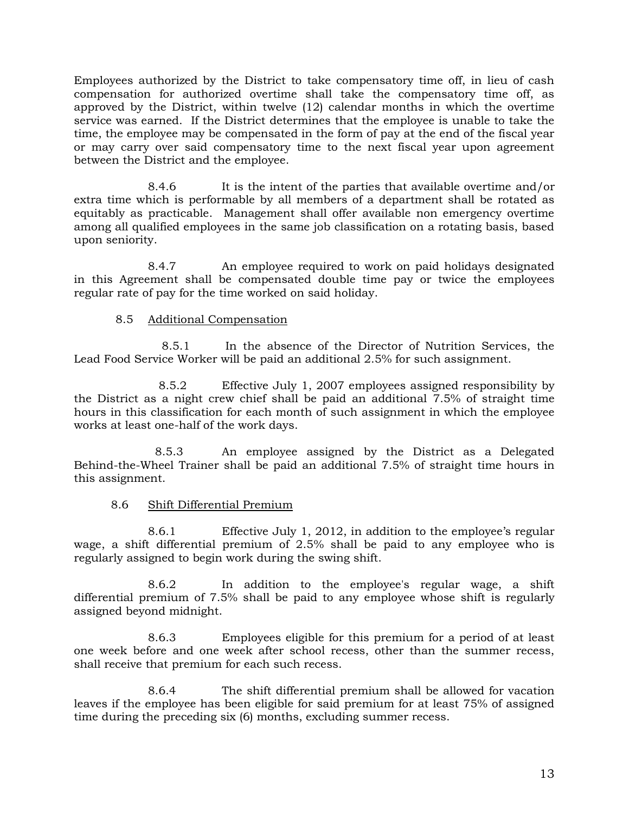Employees authorized by the District to take compensatory time off, in lieu of cash compensation for authorized overtime shall take the compensatory time off, as approved by the District, within twelve (12) calendar months in which the overtime service was earned. If the District determines that the employee is unable to take the time, the employee may be compensated in the form of pay at the end of the fiscal year or may carry over said compensatory time to the next fiscal year upon agreement between the District and the employee.

8.4.6 It is the intent of the parties that available overtime and/or extra time which is performable by all members of a department shall be rotated as equitably as practicable. Management shall offer available non emergency overtime among all qualified employees in the same job classification on a rotating basis, based upon seniority.

8.4.7 An employee required to work on paid holidays designated in this Agreement shall be compensated double time pay or twice the employees regular rate of pay for the time worked on said holiday.

# 8.5 Additional Compensation

8.5.1 In the absence of the Director of Nutrition Services, the Lead Food Service Worker will be paid an additional 2.5% for such assignment.

 8.5.2 Effective July 1, 2007 employees assigned responsibility by the District as a night crew chief shall be paid an additional 7.5% of straight time hours in this classification for each month of such assignment in which the employee works at least one-half of the work days.

 8.5.3 An employee assigned by the District as a Delegated Behind-the-Wheel Trainer shall be paid an additional 7.5% of straight time hours in this assignment.

# 8.6 Shift Differential Premium

8.6.1 Effective July 1, 2012, in addition to the employee's regular wage, a shift differential premium of 2.5% shall be paid to any employee who is regularly assigned to begin work during the swing shift.

8.6.2 In addition to the employee's regular wage, a shift differential premium of 7.5% shall be paid to any employee whose shift is regularly assigned beyond midnight.

8.6.3 Employees eligible for this premium for a period of at least one week before and one week after school recess, other than the summer recess, shall receive that premium for each such recess.

8.6.4 The shift differential premium shall be allowed for vacation leaves if the employee has been eligible for said premium for at least 75% of assigned time during the preceding six (6) months, excluding summer recess.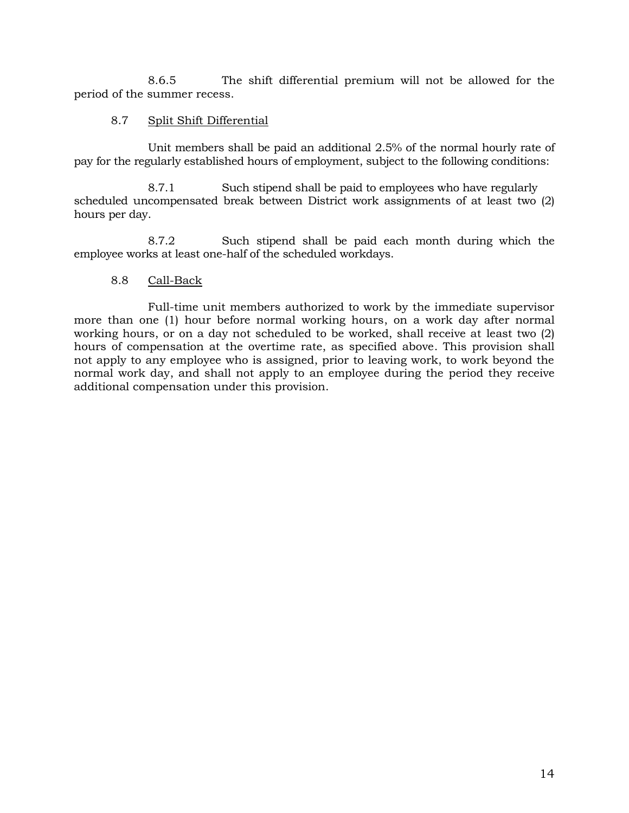8.6.5 The shift differential premium will not be allowed for the period of the summer recess.

# 8.7 Split Shift Differential

Unit members shall be paid an additional 2.5% of the normal hourly rate of pay for the regularly established hours of employment, subject to the following conditions:

8.7.1 Such stipend shall be paid to employees who have regularly scheduled uncompensated break between District work assignments of at least two (2) hours per day.

8.7.2 Such stipend shall be paid each month during which the employee works at least one-half of the scheduled workdays.

# 8.8 Call-Back

Full-time unit members authorized to work by the immediate supervisor more than one (1) hour before normal working hours, on a work day after normal working hours, or on a day not scheduled to be worked, shall receive at least two (2) hours of compensation at the overtime rate, as specified above. This provision shall not apply to any employee who is assigned, prior to leaving work, to work beyond the normal work day, and shall not apply to an employee during the period they receive additional compensation under this provision.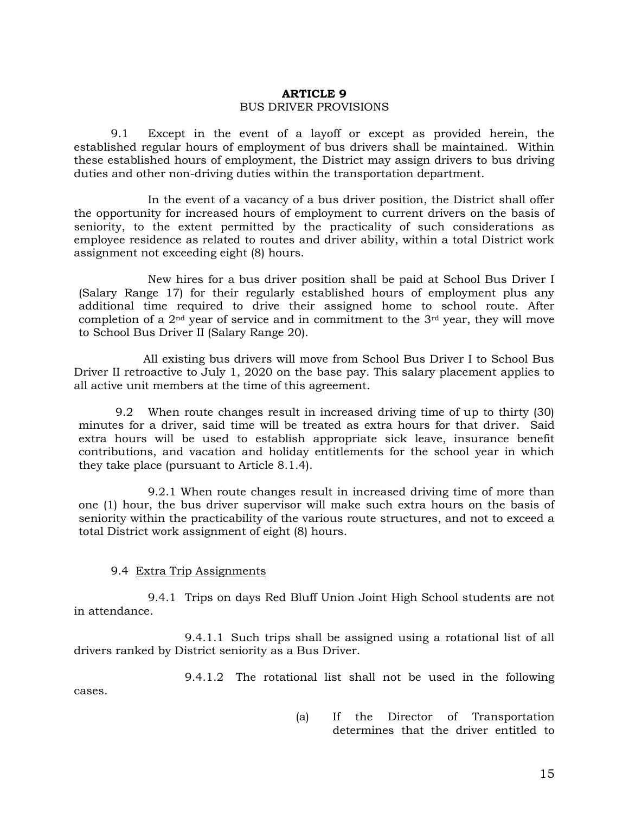# **ARTICLE 9**  BUS DRIVER PROVISIONS

9.1 Except in the event of a layoff or except as provided herein, the established regular hours of employment of bus drivers shall be maintained. Within these established hours of employment, the District may assign drivers to bus driving duties and other non-driving duties within the transportation department.

In the event of a vacancy of a bus driver position, the District shall offer the opportunity for increased hours of employment to current drivers on the basis of seniority, to the extent permitted by the practicality of such considerations as employee residence as related to routes and driver ability, within a total District work assignment not exceeding eight (8) hours.

 New hires for a bus driver position shall be paid at School Bus Driver I (Salary Range 17) for their regularly established hours of employment plus any additional time required to drive their assigned home to school route. After completion of a 2nd year of service and in commitment to the 3rd year, they will move to School Bus Driver II (Salary Range 20).

 All existing bus drivers will move from School Bus Driver I to School Bus Driver II retroactive to July 1, 2020 on the base pay. This salary placement applies to all active unit members at the time of this agreement.

9.2 When route changes result in increased driving time of up to thirty (30) minutes for a driver, said time will be treated as extra hours for that driver. Said extra hours will be used to establish appropriate sick leave, insurance benefit contributions, and vacation and holiday entitlements for the school year in which they take place (pursuant to Article 8.1.4).

9.2.1 When route changes result in increased driving time of more than one (1) hour, the bus driver supervisor will make such extra hours on the basis of seniority within the practicability of the various route structures, and not to exceed a total District work assignment of eight (8) hours.

#### 9.4 Extra Trip Assignments

9.4.1 Trips on days Red Bluff Union Joint High School students are not in attendance.

9.4.1.1 Such trips shall be assigned using a rotational list of all drivers ranked by District seniority as a Bus Driver.

9.4.1.2 The rotational list shall not be used in the following cases.

> (a) If the Director of Transportation determines that the driver entitled to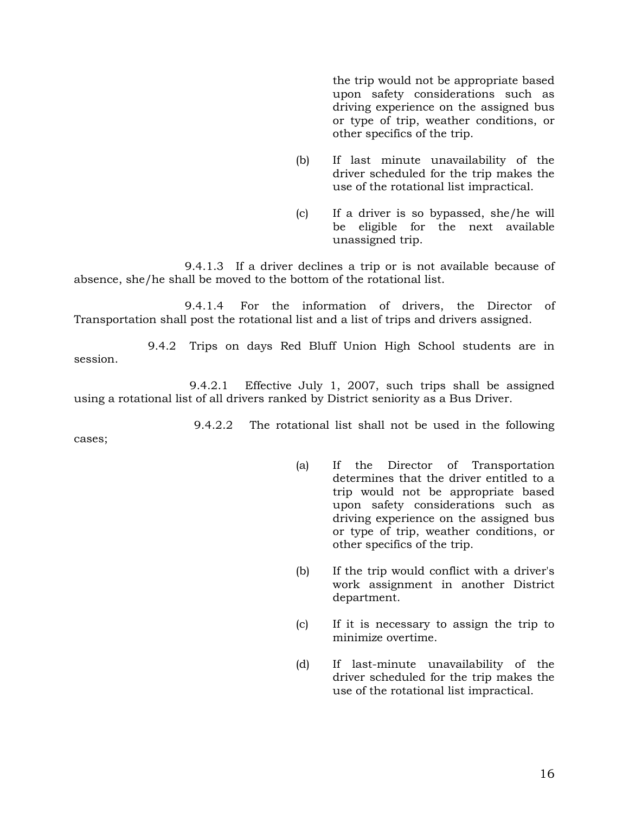the trip would not be appropriate based upon safety considerations such as driving experience on the assigned bus or type of trip, weather conditions, or other specifics of the trip.

- (b) If last minute unavailability of the driver scheduled for the trip makes the use of the rotational list impractical.
- (c) If a driver is so bypassed, she/he will be eligible for the next available unassigned trip.

9.4.1.3 If a driver declines a trip or is not available because of absence, she/he shall be moved to the bottom of the rotational list.

9.4.1.4 For the information of drivers, the Director of Transportation shall post the rotational list and a list of trips and drivers assigned.

9.4.2 Trips on days Red Bluff Union High School students are in session.

9.4.2.1 Effective July 1, 2007, such trips shall be assigned using a rotational list of all drivers ranked by District seniority as a Bus Driver.

9.4.2.2 The rotational list shall not be used in the following

cases;

- (a) If the Director of Transportation determines that the driver entitled to a trip would not be appropriate based upon safety considerations such as driving experience on the assigned bus or type of trip, weather conditions, or other specifics of the trip.
- (b) If the trip would conflict with a driver's work assignment in another District department.
- (c) If it is necessary to assign the trip to minimize overtime.
- (d) If last-minute unavailability of the driver scheduled for the trip makes the use of the rotational list impractical.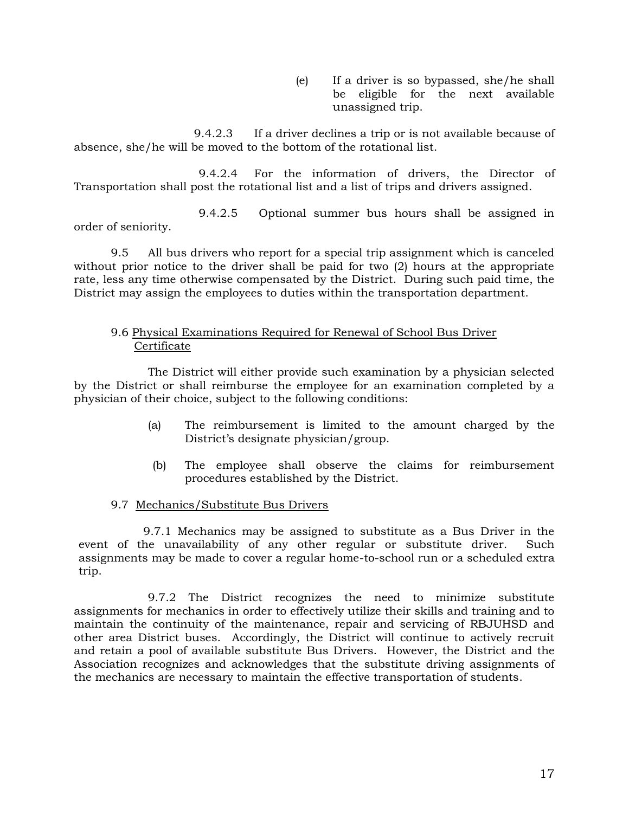(e) If a driver is so bypassed, she/he shall be eligible for the next available unassigned trip.

9.4.2.3 If a driver declines a trip or is not available because of absence, she/he will be moved to the bottom of the rotational list.

9.4.2.4 For the information of drivers, the Director of Transportation shall post the rotational list and a list of trips and drivers assigned.

9.4.2.5 Optional summer bus hours shall be assigned in order of seniority.

9.5 All bus drivers who report for a special trip assignment which is canceled without prior notice to the driver shall be paid for two (2) hours at the appropriate rate, less any time otherwise compensated by the District. During such paid time, the District may assign the employees to duties within the transportation department.

# 9.6 Physical Examinations Required for Renewal of School Bus Driver Certificate

The District will either provide such examination by a physician selected by the District or shall reimburse the employee for an examination completed by a physician of their choice, subject to the following conditions:

- (a) The reimbursement is limited to the amount charged by the District's designate physician/group.
- (b) The employee shall observe the claims for reimbursement procedures established by the District.

# 9.7 Mechanics/Substitute Bus Drivers

9.7.1 Mechanics may be assigned to substitute as a Bus Driver in the event of the unavailability of any other regular or substitute driver. Such assignments may be made to cover a regular home-to-school run or a scheduled extra trip.

9.7.2 The District recognizes the need to minimize substitute assignments for mechanics in order to effectively utilize their skills and training and to maintain the continuity of the maintenance, repair and servicing of RBJUHSD and other area District buses. Accordingly, the District will continue to actively recruit and retain a pool of available substitute Bus Drivers. However, the District and the Association recognizes and acknowledges that the substitute driving assignments of the mechanics are necessary to maintain the effective transportation of students.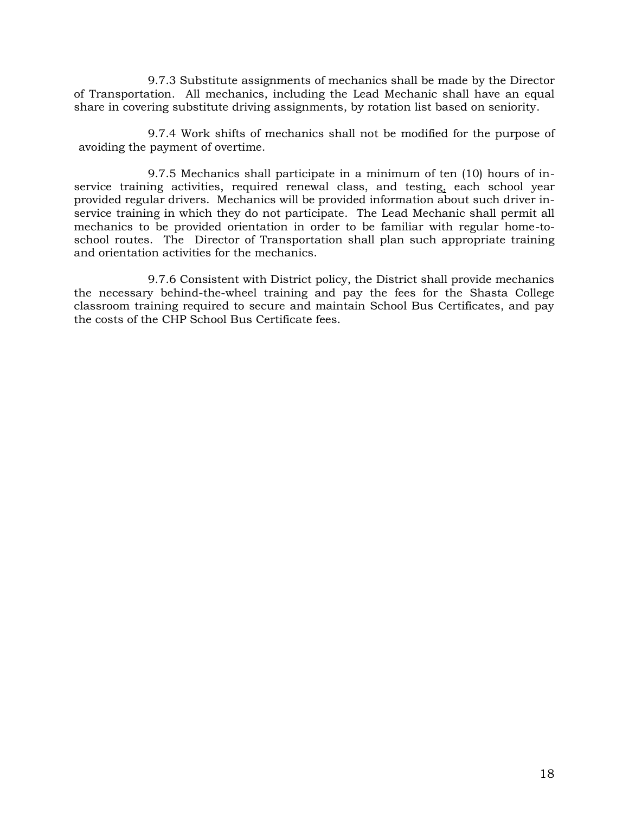9.7.3 Substitute assignments of mechanics shall be made by the Director of Transportation. All mechanics, including the Lead Mechanic shall have an equal share in covering substitute driving assignments, by rotation list based on seniority.

9.7.4 Work shifts of mechanics shall not be modified for the purpose of avoiding the payment of overtime.

9.7.5 Mechanics shall participate in a minimum of ten (10) hours of inservice training activities, required renewal class, and testing, each school year provided regular drivers. Mechanics will be provided information about such driver inservice training in which they do not participate. The Lead Mechanic shall permit all mechanics to be provided orientation in order to be familiar with regular home-toschool routes. The Director of Transportation shall plan such appropriate training and orientation activities for the mechanics.

9.7.6 Consistent with District policy, the District shall provide mechanics the necessary behind-the-wheel training and pay the fees for the Shasta College classroom training required to secure and maintain School Bus Certificates, and pay the costs of the CHP School Bus Certificate fees.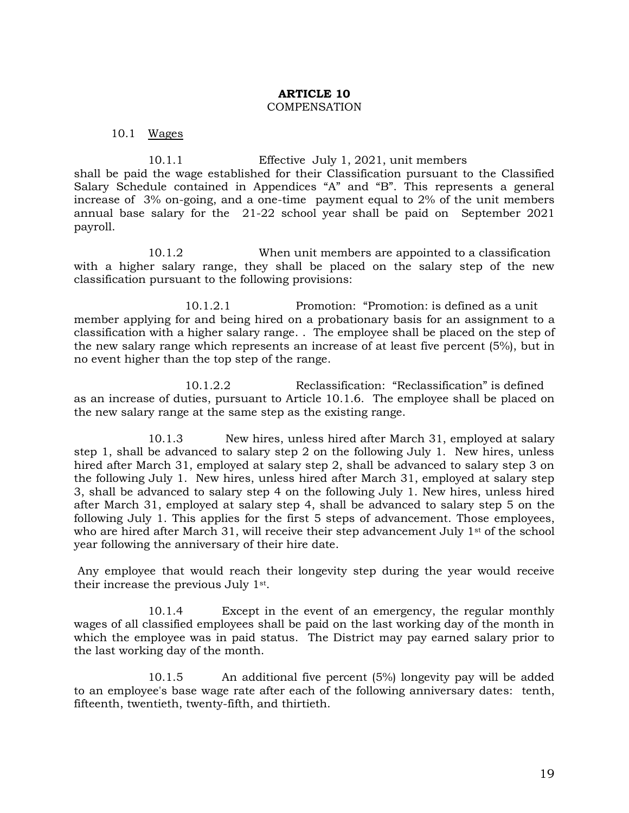#### **ARTICLE 10 COMPENSATION**

10.1 Wages

10.1.1 Effective July 1, 2021, unit members shall be paid the wage established for their Classification pursuant to the Classified Salary Schedule contained in Appendices "A" and "B". This represents a general increase of 3% on-going, and a one-time payment equal to 2% of the unit members annual base salary for the 21-22 school year shall be paid on September 2021 payroll.

10.1.2 When unit members are appointed to a classification with a higher salary range, they shall be placed on the salary step of the new classification pursuant to the following provisions:

10.1.2.1 Promotion: "Promotion: is defined as a unit member applying for and being hired on a probationary basis for an assignment to a classification with a higher salary range. . The employee shall be placed on the step of the new salary range which represents an increase of at least five percent (5%), but in no event higher than the top step of the range.

10.1.2.2 Reclassification: "Reclassification" is defined as an increase of duties, pursuant to Article 10.1.6. The employee shall be placed on the new salary range at the same step as the existing range.

10.1.3 New hires, unless hired after March 31, employed at salary step 1, shall be advanced to salary step 2 on the following July 1. New hires, unless hired after March 31, employed at salary step 2, shall be advanced to salary step 3 on the following July 1. New hires, unless hired after March 31, employed at salary step 3, shall be advanced to salary step 4 on the following July 1. New hires, unless hired after March 31, employed at salary step 4, shall be advanced to salary step 5 on the following July 1. This applies for the first 5 steps of advancement. Those employees, who are hired after March 31, will receive their step advancement July  $1<sup>st</sup>$  of the school year following the anniversary of their hire date.

Any employee that would reach their longevity step during the year would receive their increase the previous July 1st.

10.1.4 Except in the event of an emergency, the regular monthly wages of all classified employees shall be paid on the last working day of the month in which the employee was in paid status. The District may pay earned salary prior to the last working day of the month.

10.1.5 An additional five percent (5%) longevity pay will be added to an employee's base wage rate after each of the following anniversary dates: tenth, fifteenth, twentieth, twenty-fifth, and thirtieth.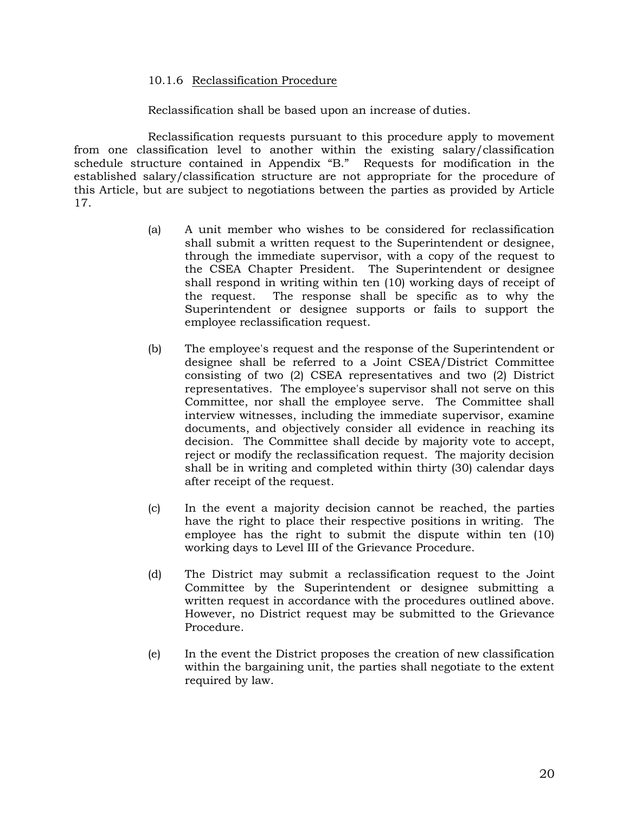#### 10.1.6 Reclassification Procedure

Reclassification shall be based upon an increase of duties.

Reclassification requests pursuant to this procedure apply to movement from one classification level to another within the existing salary/classification schedule structure contained in Appendix "B." Requests for modification in the established salary/classification structure are not appropriate for the procedure of this Article, but are subject to negotiations between the parties as provided by Article 17.

- (a) A unit member who wishes to be considered for reclassification shall submit a written request to the Superintendent or designee, through the immediate supervisor, with a copy of the request to the CSEA Chapter President. The Superintendent or designee shall respond in writing within ten (10) working days of receipt of the request. The response shall be specific as to why the Superintendent or designee supports or fails to support the employee reclassification request.
- (b) The employee's request and the response of the Superintendent or designee shall be referred to a Joint CSEA/District Committee consisting of two (2) CSEA representatives and two (2) District representatives. The employee's supervisor shall not serve on this Committee, nor shall the employee serve. The Committee shall interview witnesses, including the immediate supervisor, examine documents, and objectively consider all evidence in reaching its decision. The Committee shall decide by majority vote to accept, reject or modify the reclassification request. The majority decision shall be in writing and completed within thirty (30) calendar days after receipt of the request.
- (c) In the event a majority decision cannot be reached, the parties have the right to place their respective positions in writing. The employee has the right to submit the dispute within ten (10) working days to Level III of the Grievance Procedure.
- (d) The District may submit a reclassification request to the Joint Committee by the Superintendent or designee submitting a written request in accordance with the procedures outlined above. However, no District request may be submitted to the Grievance Procedure.
- (e) In the event the District proposes the creation of new classification within the bargaining unit, the parties shall negotiate to the extent required by law.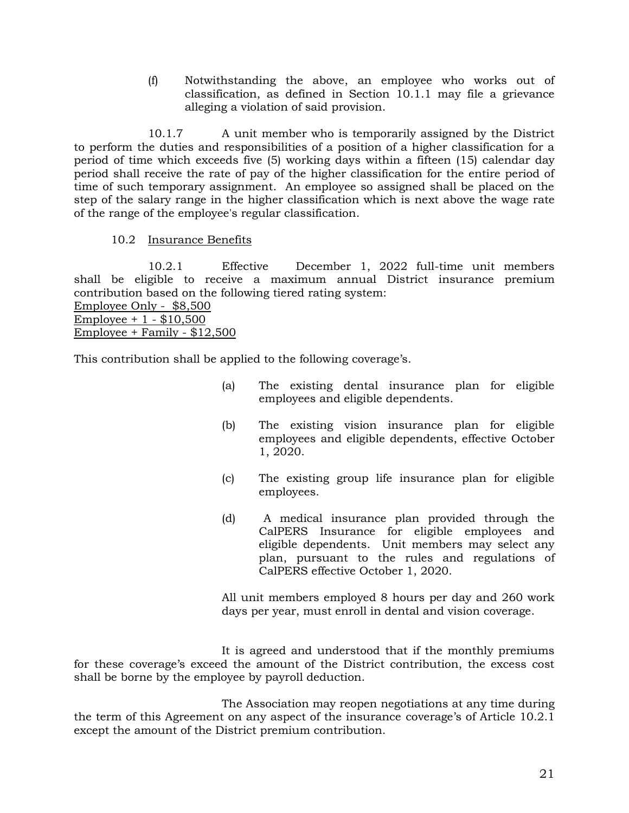(f) Notwithstanding the above, an employee who works out of classification, as defined in Section 10.1.1 may file a grievance alleging a violation of said provision.

10.1.7 A unit member who is temporarily assigned by the District to perform the duties and responsibilities of a position of a higher classification for a period of time which exceeds five (5) working days within a fifteen (15) calendar day period shall receive the rate of pay of the higher classification for the entire period of time of such temporary assignment. An employee so assigned shall be placed on the step of the salary range in the higher classification which is next above the wage rate of the range of the employee's regular classification.

# 10.2 Insurance Benefits

10.2.1 Effective December 1, 2022 full-time unit members shall be eligible to receive a maximum annual District insurance premium contribution based on the following tiered rating system: Employee Only - \$8,500 Employee + 1 - \$10,500 Employee + Family - \$12,500

This contribution shall be applied to the following coverage's.

- (a) The existing dental insurance plan for eligible employees and eligible dependents.
- (b) The existing vision insurance plan for eligible employees and eligible dependents, effective October 1, 2020.
- (c) The existing group life insurance plan for eligible employees.
- (d) A medical insurance plan provided through the CalPERS Insurance for eligible employees and eligible dependents. Unit members may select any plan, pursuant to the rules and regulations of CalPERS effective October 1, 2020.

All unit members employed 8 hours per day and 260 work days per year, must enroll in dental and vision coverage.

It is agreed and understood that if the monthly premiums for these coverage's exceed the amount of the District contribution, the excess cost shall be borne by the employee by payroll deduction.

The Association may reopen negotiations at any time during the term of this Agreement on any aspect of the insurance coverage's of Article 10.2.1 except the amount of the District premium contribution.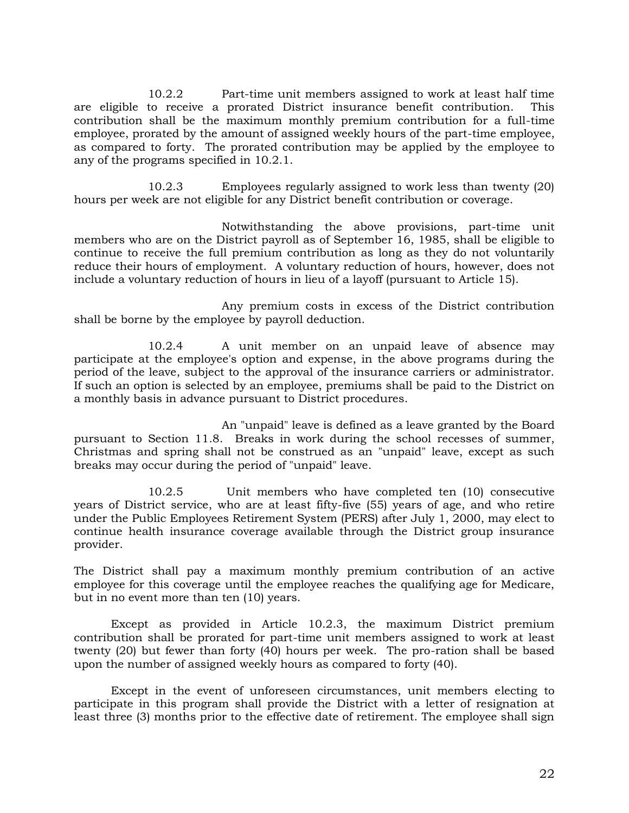10.2.2 Part-time unit members assigned to work at least half time are eligible to receive a prorated District insurance benefit contribution. This contribution shall be the maximum monthly premium contribution for a full-time employee, prorated by the amount of assigned weekly hours of the part-time employee, as compared to forty. The prorated contribution may be applied by the employee to any of the programs specified in 10.2.1.

10.2.3 Employees regularly assigned to work less than twenty (20) hours per week are not eligible for any District benefit contribution or coverage.

Notwithstanding the above provisions, part-time unit members who are on the District payroll as of September 16, 1985, shall be eligible to continue to receive the full premium contribution as long as they do not voluntarily reduce their hours of employment. A voluntary reduction of hours, however, does not include a voluntary reduction of hours in lieu of a layoff (pursuant to Article 15).

Any premium costs in excess of the District contribution shall be borne by the employee by payroll deduction.

10.2.4 A unit member on an unpaid leave of absence may participate at the employee's option and expense, in the above programs during the period of the leave, subject to the approval of the insurance carriers or administrator. If such an option is selected by an employee, premiums shall be paid to the District on a monthly basis in advance pursuant to District procedures.

An "unpaid" leave is defined as a leave granted by the Board pursuant to Section 11.8. Breaks in work during the school recesses of summer, Christmas and spring shall not be construed as an "unpaid" leave, except as such breaks may occur during the period of "unpaid" leave.

10.2.5 Unit members who have completed ten (10) consecutive years of District service, who are at least fifty-five (55) years of age, and who retire under the Public Employees Retirement System (PERS) after July 1, 2000, may elect to continue health insurance coverage available through the District group insurance provider.

The District shall pay a maximum monthly premium contribution of an active employee for this coverage until the employee reaches the qualifying age for Medicare, but in no event more than ten (10) years.

Except as provided in Article 10.2.3, the maximum District premium contribution shall be prorated for part-time unit members assigned to work at least twenty (20) but fewer than forty (40) hours per week. The pro-ration shall be based upon the number of assigned weekly hours as compared to forty (40).

Except in the event of unforeseen circumstances, unit members electing to participate in this program shall provide the District with a letter of resignation at least three (3) months prior to the effective date of retirement. The employee shall sign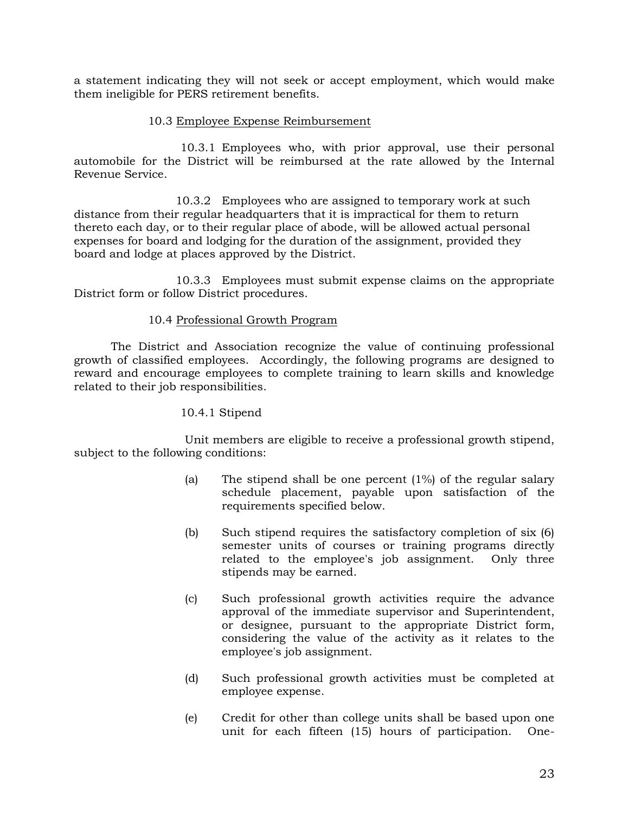a statement indicating they will not seek or accept employment, which would make them ineligible for PERS retirement benefits.

### 10.3 Employee Expense Reimbursement

10.3.1 Employees who, with prior approval, use their personal automobile for the District will be reimbursed at the rate allowed by the Internal Revenue Service.

10.3.2 Employees who are assigned to temporary work at such distance from their regular headquarters that it is impractical for them to return thereto each day, or to their regular place of abode, will be allowed actual personal expenses for board and lodging for the duration of the assignment, provided they board and lodge at places approved by the District.

10.3.3 Employees must submit expense claims on the appropriate District form or follow District procedures.

# 10.4 Professional Growth Program

The District and Association recognize the value of continuing professional growth of classified employees. Accordingly, the following programs are designed to reward and encourage employees to complete training to learn skills and knowledge related to their job responsibilities.

# 10.4.1 Stipend

Unit members are eligible to receive a professional growth stipend, subject to the following conditions:

- (a) The stipend shall be one percent (1%) of the regular salary schedule placement, payable upon satisfaction of the requirements specified below.
- (b) Such stipend requires the satisfactory completion of six (6) semester units of courses or training programs directly related to the employee's job assignment. Only three stipends may be earned.
- (c) Such professional growth activities require the advance approval of the immediate supervisor and Superintendent, or designee, pursuant to the appropriate District form, considering the value of the activity as it relates to the employee's job assignment.
- (d) Such professional growth activities must be completed at employee expense.
- (e) Credit for other than college units shall be based upon one unit for each fifteen (15) hours of participation. One-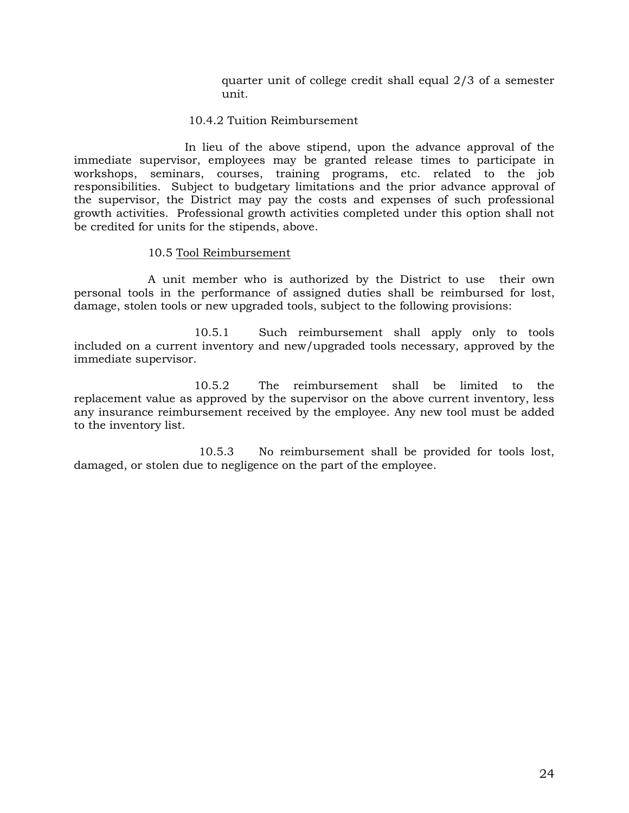quarter unit of college credit shall equal 2/3 of a semester unit.

#### 10.4.2 Tuition Reimbursement

In lieu of the above stipend, upon the advance approval of the immediate supervisor, employees may be granted release times to participate in workshops, seminars, courses, training programs, etc. related to the job responsibilities. Subject to budgetary limitations and the prior advance approval of the supervisor, the District may pay the costs and expenses of such professional growth activities. Professional growth activities completed under this option shall not be credited for units for the stipends, above.

#### 10.5 Tool Reimbursement

A unit member who is authorized by the District to use their own personal tools in the performance of assigned duties shall be reimbursed for lost, damage, stolen tools or new upgraded tools, subject to the following provisions:

10.5.1 Such reimbursement shall apply only to tools included on a current inventory and new/upgraded tools necessary, approved by the immediate supervisor.

10.5.2 The reimbursement shall be limited to the replacement value as approved by the supervisor on the above current inventory, less any insurance reimbursement received by the employee. Any new tool must be added to the inventory list.

10.5.3 No reimbursement shall be provided for tools lost, damaged, or stolen due to negligence on the part of the employee.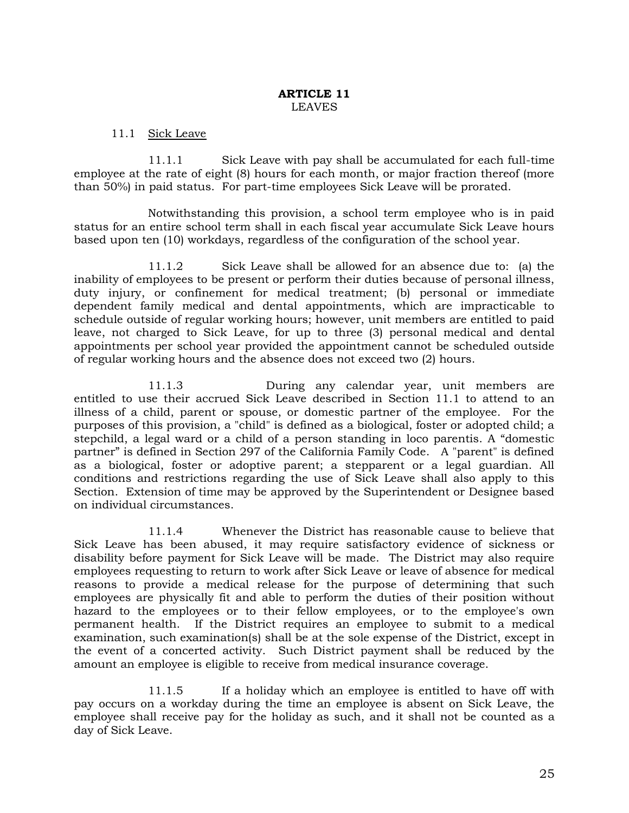#### **ARTICLE 11**  LEAVES

#### 11.1 Sick Leave

11.1.1 Sick Leave with pay shall be accumulated for each full-time employee at the rate of eight (8) hours for each month, or major fraction thereof (more than 50%) in paid status. For part-time employees Sick Leave will be prorated.

Notwithstanding this provision, a school term employee who is in paid status for an entire school term shall in each fiscal year accumulate Sick Leave hours based upon ten (10) workdays, regardless of the configuration of the school year.

11.1.2 Sick Leave shall be allowed for an absence due to: (a) the inability of employees to be present or perform their duties because of personal illness, duty injury, or confinement for medical treatment; (b) personal or immediate dependent family medical and dental appointments, which are impracticable to schedule outside of regular working hours; however, unit members are entitled to paid leave, not charged to Sick Leave, for up to three (3) personal medical and dental appointments per school year provided the appointment cannot be scheduled outside of regular working hours and the absence does not exceed two (2) hours.

11.1.3 During any calendar year, unit members are entitled to use their accrued Sick Leave described in Section 11.1 to attend to an illness of a child, parent or spouse, or domestic partner of the employee. For the purposes of this provision, a "child" is defined as a biological, foster or adopted child; a stepchild, a legal ward or a child of a person standing in loco parentis. A "domestic partner" is defined in Section 297 of the California Family Code. A "parent" is defined as a biological, foster or adoptive parent; a stepparent or a legal guardian. All conditions and restrictions regarding the use of Sick Leave shall also apply to this Section. Extension of time may be approved by the Superintendent or Designee based on individual circumstances.

11.1.4 Whenever the District has reasonable cause to believe that Sick Leave has been abused, it may require satisfactory evidence of sickness or disability before payment for Sick Leave will be made. The District may also require employees requesting to return to work after Sick Leave or leave of absence for medical reasons to provide a medical release for the purpose of determining that such employees are physically fit and able to perform the duties of their position without hazard to the employees or to their fellow employees, or to the employee's own permanent health. If the District requires an employee to submit to a medical examination, such examination(s) shall be at the sole expense of the District, except in the event of a concerted activity. Such District payment shall be reduced by the amount an employee is eligible to receive from medical insurance coverage.

11.1.5 If a holiday which an employee is entitled to have off with pay occurs on a workday during the time an employee is absent on Sick Leave, the employee shall receive pay for the holiday as such, and it shall not be counted as a day of Sick Leave.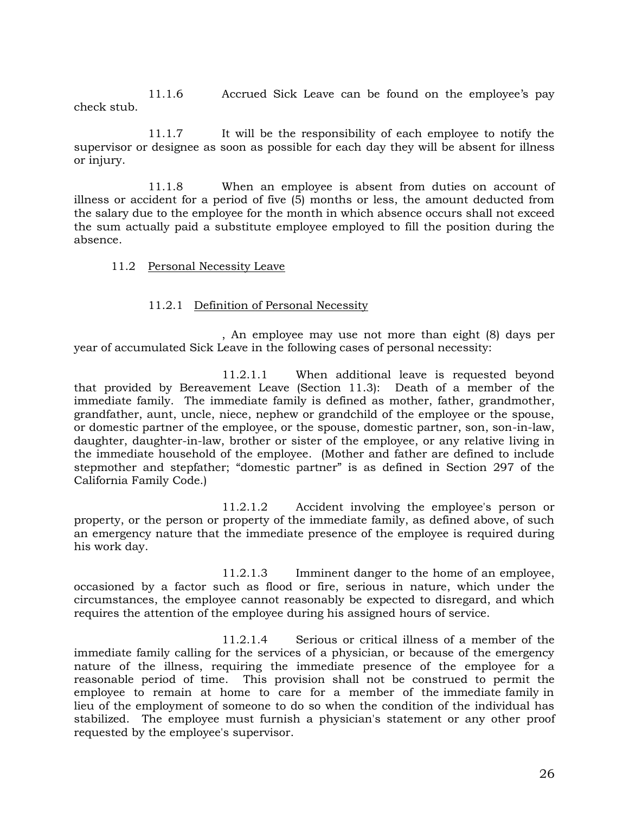11.1.6 Accrued Sick Leave can be found on the employee's pay check stub.

11.1.7 It will be the responsibility of each employee to notify the supervisor or designee as soon as possible for each day they will be absent for illness or injury.

11.1.8 When an employee is absent from duties on account of illness or accident for a period of five (5) months or less, the amount deducted from the salary due to the employee for the month in which absence occurs shall not exceed the sum actually paid a substitute employee employed to fill the position during the absence.

#### 11.2 Personal Necessity Leave

#### 11.2.1 Definition of Personal Necessity

, An employee may use not more than eight (8) days per year of accumulated Sick Leave in the following cases of personal necessity:

11.2.1.1 When additional leave is requested beyond that provided by Bereavement Leave (Section 11.3): Death of a member of the immediate family. The immediate family is defined as mother, father, grandmother, grandfather, aunt, uncle, niece, nephew or grandchild of the employee or the spouse, or domestic partner of the employee, or the spouse, domestic partner, son, son-in-law, daughter, daughter-in-law, brother or sister of the employee, or any relative living in the immediate household of the employee. (Mother and father are defined to include stepmother and stepfather; "domestic partner" is as defined in Section 297 of the California Family Code.)

11.2.1.2 Accident involving the employee's person or property, or the person or property of the immediate family, as defined above, of such an emergency nature that the immediate presence of the employee is required during his work day.

11.2.1.3 Imminent danger to the home of an employee, occasioned by a factor such as flood or fire, serious in nature, which under the circumstances, the employee cannot reasonably be expected to disregard, and which requires the attention of the employee during his assigned hours of service.

11.2.1.4 Serious or critical illness of a member of the immediate family calling for the services of a physician, or because of the emergency nature of the illness, requiring the immediate presence of the employee for a reasonable period of time. This provision shall not be construed to permit the employee to remain at home to care for a member of the immediate family in lieu of the employment of someone to do so when the condition of the individual has stabilized. The employee must furnish a physician's statement or any other proof requested by the employee's supervisor.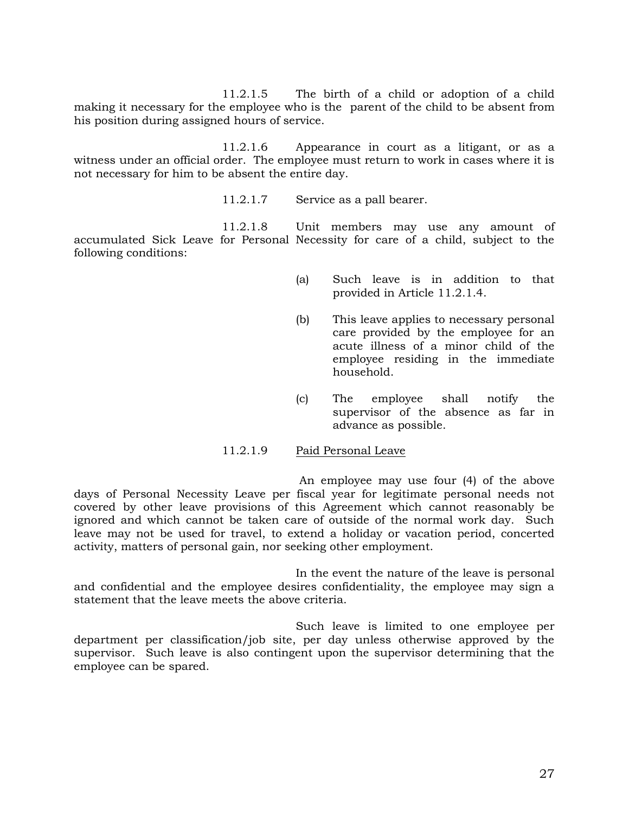11.2.1.5 The birth of a child or adoption of a child making it necessary for the employee who is the parent of the child to be absent from his position during assigned hours of service.

11.2.1.6 Appearance in court as a litigant, or as a witness under an official order. The employee must return to work in cases where it is not necessary for him to be absent the entire day.

11.2.1.7 Service as a pall bearer.

11.2.1.8 Unit members may use any amount of accumulated Sick Leave for Personal Necessity for care of a child, subject to the following conditions:

- (a) Such leave is in addition to that provided in Article 11.2.1.4.
- (b) This leave applies to necessary personal care provided by the employee for an acute illness of a minor child of the employee residing in the immediate household.
- (c) The employee shall notify the supervisor of the absence as far in advance as possible.

#### 11.2.1.9 Paid Personal Leave

An employee may use four (4) of the above days of Personal Necessity Leave per fiscal year for legitimate personal needs not covered by other leave provisions of this Agreement which cannot reasonably be ignored and which cannot be taken care of outside of the normal work day. Such leave may not be used for travel, to extend a holiday or vacation period, concerted activity, matters of personal gain, nor seeking other employment.

In the event the nature of the leave is personal and confidential and the employee desires confidentiality, the employee may sign a statement that the leave meets the above criteria.

Such leave is limited to one employee per department per classification/job site, per day unless otherwise approved by the supervisor. Such leave is also contingent upon the supervisor determining that the employee can be spared.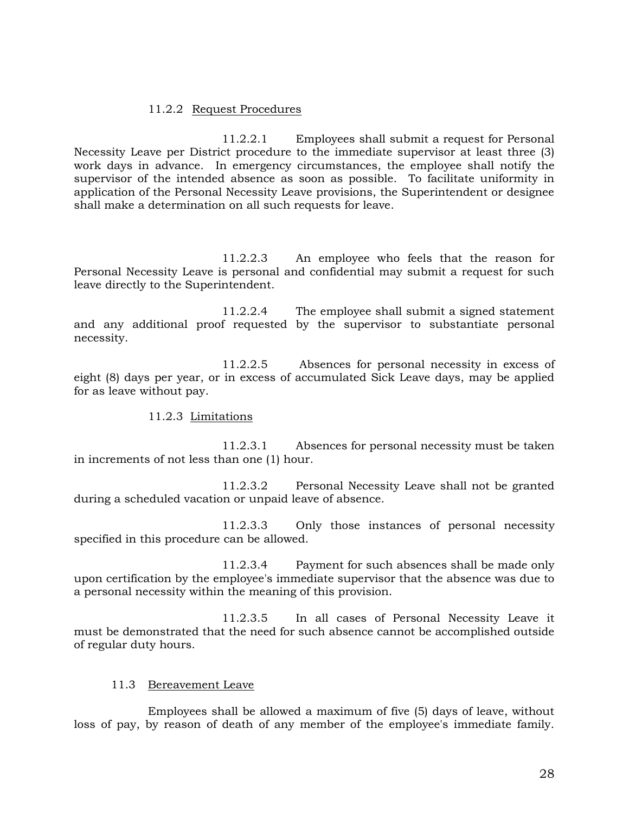# 11.2.2 Request Procedures

11.2.2.1 Employees shall submit a request for Personal Necessity Leave per District procedure to the immediate supervisor at least three (3) work days in advance. In emergency circumstances, the employee shall notify the supervisor of the intended absence as soon as possible. To facilitate uniformity in application of the Personal Necessity Leave provisions, the Superintendent or designee shall make a determination on all such requests for leave.

11.2.2.3 An employee who feels that the reason for Personal Necessity Leave is personal and confidential may submit a request for such leave directly to the Superintendent.

11.2.2.4 The employee shall submit a signed statement and any additional proof requested by the supervisor to substantiate personal necessity.

11.2.2.5 Absences for personal necessity in excess of eight (8) days per year, or in excess of accumulated Sick Leave days, may be applied for as leave without pay.

#### 11.2.3 Limitations

11.2.3.1 Absences for personal necessity must be taken in increments of not less than one (1) hour.

11.2.3.2 Personal Necessity Leave shall not be granted during a scheduled vacation or unpaid leave of absence.

11.2.3.3 Only those instances of personal necessity specified in this procedure can be allowed.

11.2.3.4 Payment for such absences shall be made only upon certification by the employee's immediate supervisor that the absence was due to a personal necessity within the meaning of this provision.

11.2.3.5 In all cases of Personal Necessity Leave it must be demonstrated that the need for such absence cannot be accomplished outside of regular duty hours.

# 11.3 Bereavement Leave

Employees shall be allowed a maximum of five (5) days of leave, without loss of pay, by reason of death of any member of the employee's immediate family.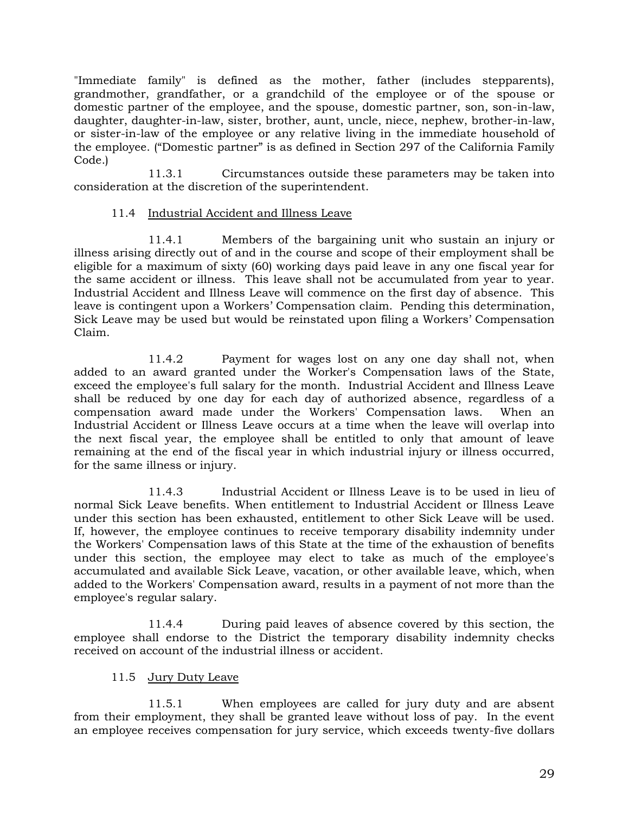"Immediate family" is defined as the mother, father (includes stepparents), grandmother, grandfather, or a grandchild of the employee or of the spouse or domestic partner of the employee, and the spouse, domestic partner, son, son-in-law, daughter, daughter-in-law, sister, brother, aunt, uncle, niece, nephew, brother-in-law, or sister-in-law of the employee or any relative living in the immediate household of the employee. ("Domestic partner" is as defined in Section 297 of the California Family Code.)

11.3.1 Circumstances outside these parameters may be taken into consideration at the discretion of the superintendent.

# 11.4 Industrial Accident and Illness Leave

11.4.1 Members of the bargaining unit who sustain an injury or illness arising directly out of and in the course and scope of their employment shall be eligible for a maximum of sixty (60) working days paid leave in any one fiscal year for the same accident or illness. This leave shall not be accumulated from year to year. Industrial Accident and Illness Leave will commence on the first day of absence. This leave is contingent upon a Workers' Compensation claim. Pending this determination, Sick Leave may be used but would be reinstated upon filing a Workers' Compensation Claim.

11.4.2 Payment for wages lost on any one day shall not, when added to an award granted under the Worker's Compensation laws of the State, exceed the employee's full salary for the month. Industrial Accident and Illness Leave shall be reduced by one day for each day of authorized absence, regardless of a compensation award made under the Workers' Compensation laws. When an Industrial Accident or Illness Leave occurs at a time when the leave will overlap into the next fiscal year, the employee shall be entitled to only that amount of leave remaining at the end of the fiscal year in which industrial injury or illness occurred, for the same illness or injury.

11.4.3 Industrial Accident or Illness Leave is to be used in lieu of normal Sick Leave benefits. When entitlement to Industrial Accident or Illness Leave under this section has been exhausted, entitlement to other Sick Leave will be used. If, however, the employee continues to receive temporary disability indemnity under the Workers' Compensation laws of this State at the time of the exhaustion of benefits under this section, the employee may elect to take as much of the employee's accumulated and available Sick Leave, vacation, or other available leave, which, when added to the Workers' Compensation award, results in a payment of not more than the employee's regular salary.

11.4.4 During paid leaves of absence covered by this section, the employee shall endorse to the District the temporary disability indemnity checks received on account of the industrial illness or accident.

# 11.5 Jury Duty Leave

11.5.1 When employees are called for jury duty and are absent from their employment, they shall be granted leave without loss of pay. In the event an employee receives compensation for jury service, which exceeds twenty-five dollars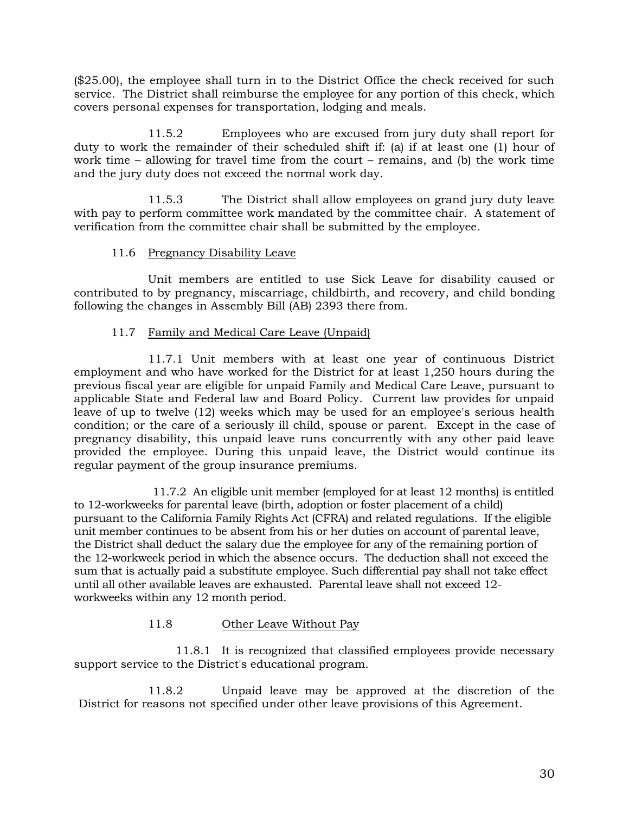(\$25.00), the employee shall turn in to the District Office the check received for such service. The District shall reimburse the employee for any portion of this check, which covers personal expenses for transportation, lodging and meals.

11.5.2 Employees who are excused from jury duty shall report for duty to work the remainder of their scheduled shift if: (a) if at least one (1) hour of work time – allowing for travel time from the court – remains, and  $(b)$  the work time and the jury duty does not exceed the normal work day.

11.5.3 The District shall allow employees on grand jury duty leave with pay to perform committee work mandated by the committee chair. A statement of verification from the committee chair shall be submitted by the employee.

# 11.6 Pregnancy Disability Leave

Unit members are entitled to use Sick Leave for disability caused or contributed to by pregnancy, miscarriage, childbirth, and recovery, and child bonding following the changes in Assembly Bill (AB) 2393 there from.

# 11.7 Family and Medical Care Leave (Unpaid)

11.7.1 Unit members with at least one year of continuous District employment and who have worked for the District for at least 1,250 hours during the previous fiscal year are eligible for unpaid Family and Medical Care Leave, pursuant to applicable State and Federal law and Board Policy. Current law provides for unpaid leave of up to twelve (12) weeks which may be used for an employee's serious health condition; or the care of a seriously ill child, spouse or parent. Except in the case of pregnancy disability, this unpaid leave runs concurrently with any other paid leave provided the employee. During this unpaid leave, the District would continue its regular payment of the group insurance premiums.

11.7.2 An eligible unit member (employed for at least 12 months) is entitled to 12-workweeks for parental leave (birth, adoption or foster placement of a child) pursuant to the California Family Rights Act (CFRA) and related regulations. If the eligible unit member continues to be absent from his or her duties on account of parental leave, the District shall deduct the salary due the employee for any of the remaining portion of the 12-workweek period in which the absence occurs. The deduction shall not exceed the sum that is actually paid a substitute employee. Such differential pay shall not take effect until all other available leaves are exhausted. Parental leave shall not exceed 12 workweeks within any 12 month period.

# 11.8 Other Leave Without Pay

11.8.1 It is recognized that classified employees provide necessary support service to the District's educational program.

11.8.2 Unpaid leave may be approved at the discretion of the District for reasons not specified under other leave provisions of this Agreement.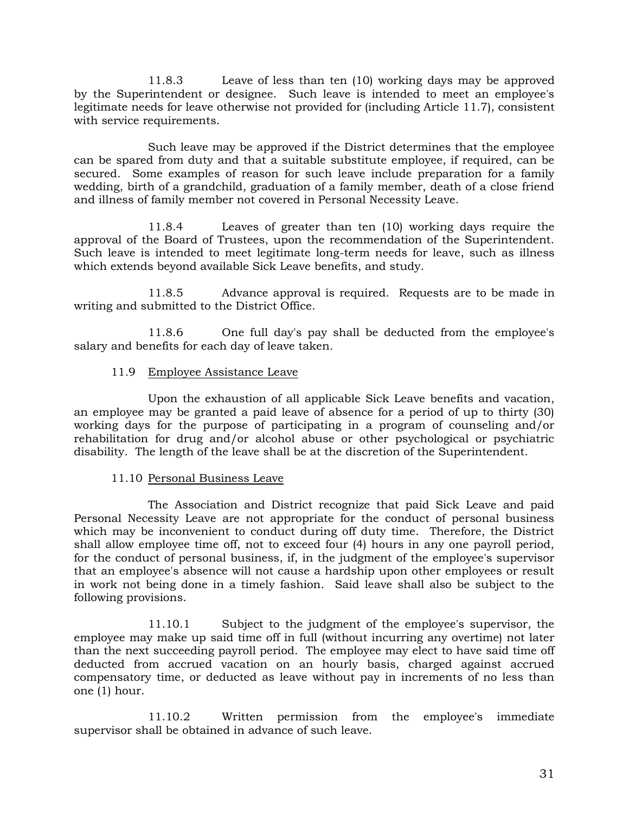11.8.3 Leave of less than ten (10) working days may be approved by the Superintendent or designee. Such leave is intended to meet an employee's legitimate needs for leave otherwise not provided for (including Article 11.7), consistent with service requirements.

Such leave may be approved if the District determines that the employee can be spared from duty and that a suitable substitute employee, if required, can be secured. Some examples of reason for such leave include preparation for a family wedding, birth of a grandchild, graduation of a family member, death of a close friend and illness of family member not covered in Personal Necessity Leave.

11.8.4 Leaves of greater than ten (10) working days require the approval of the Board of Trustees, upon the recommendation of the Superintendent. Such leave is intended to meet legitimate long-term needs for leave, such as illness which extends beyond available Sick Leave benefits, and study.

11.8.5 Advance approval is required. Requests are to be made in writing and submitted to the District Office.

11.8.6 One full day's pay shall be deducted from the employee's salary and benefits for each day of leave taken.

# 11.9 Employee Assistance Leave

Upon the exhaustion of all applicable Sick Leave benefits and vacation, an employee may be granted a paid leave of absence for a period of up to thirty (30) working days for the purpose of participating in a program of counseling and/or rehabilitation for drug and/or alcohol abuse or other psychological or psychiatric disability. The length of the leave shall be at the discretion of the Superintendent.

# 11.10 Personal Business Leave

The Association and District recognize that paid Sick Leave and paid Personal Necessity Leave are not appropriate for the conduct of personal business which may be inconvenient to conduct during off duty time. Therefore, the District shall allow employee time off, not to exceed four (4) hours in any one payroll period, for the conduct of personal business, if, in the judgment of the employee's supervisor that an employee's absence will not cause a hardship upon other employees or result in work not being done in a timely fashion. Said leave shall also be subject to the following provisions.

11.10.1 Subject to the judgment of the employee's supervisor, the employee may make up said time off in full (without incurring any overtime) not later than the next succeeding payroll period. The employee may elect to have said time off deducted from accrued vacation on an hourly basis, charged against accrued compensatory time, or deducted as leave without pay in increments of no less than one (1) hour.

11.10.2 Written permission from the employee's immediate supervisor shall be obtained in advance of such leave.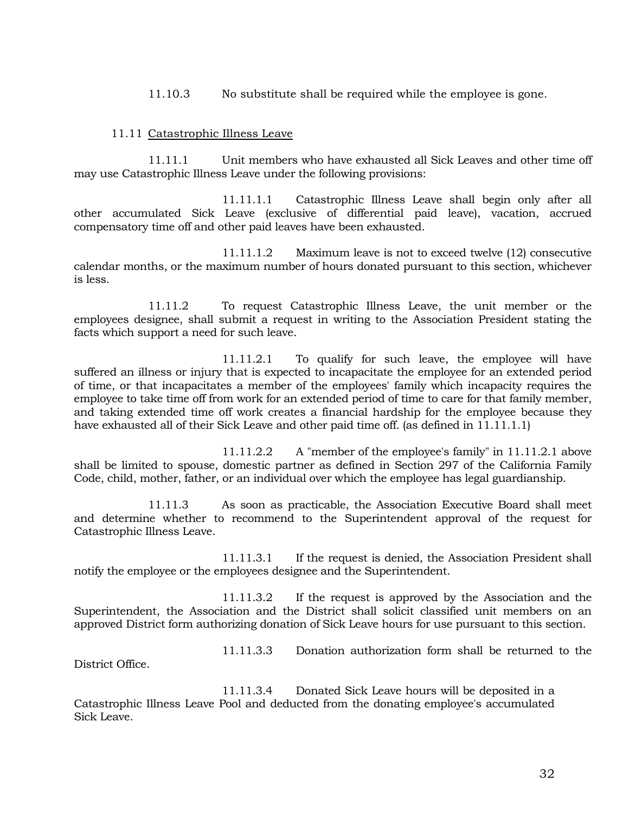11.10.3 No substitute shall be required while the employee is gone.

#### 11.11 Catastrophic Illness Leave

11.11.1 Unit members who have exhausted all Sick Leaves and other time off may use Catastrophic Illness Leave under the following provisions:

11.11.1.1 Catastrophic Illness Leave shall begin only after all other accumulated Sick Leave (exclusive of differential paid leave), vacation, accrued compensatory time off and other paid leaves have been exhausted.

11.11.1.2 Maximum leave is not to exceed twelve (12) consecutive calendar months, or the maximum number of hours donated pursuant to this section, whichever is less.

11.11.2 To request Catastrophic Illness Leave, the unit member or the employees designee, shall submit a request in writing to the Association President stating the facts which support a need for such leave.

11.11.2.1 To qualify for such leave, the employee will have suffered an illness or injury that is expected to incapacitate the employee for an extended period of time, or that incapacitates a member of the employees' family which incapacity requires the employee to take time off from work for an extended period of time to care for that family member, and taking extended time off work creates a financial hardship for the employee because they have exhausted all of their Sick Leave and other paid time off. (as defined in 11.11.1.1)

11.11.2.2 A "member of the employee's family" in 11.11.2.1 above shall be limited to spouse, domestic partner as defined in Section 297 of the California Family Code, child, mother, father, or an individual over which the employee has legal guardianship.

11.11.3 As soon as practicable, the Association Executive Board shall meet and determine whether to recommend to the Superintendent approval of the request for Catastrophic Illness Leave.

11.11.3.1 If the request is denied, the Association President shall notify the employee or the employees designee and the Superintendent.

11.11.3.2 If the request is approved by the Association and the Superintendent, the Association and the District shall solicit classified unit members on an approved District form authorizing donation of Sick Leave hours for use pursuant to this section.

District Office.

11.11.3.3 Donation authorization form shall be returned to the

11.11.3.4 Donated Sick Leave hours will be deposited in a Catastrophic Illness Leave Pool and deducted from the donating employee's accumulated Sick Leave.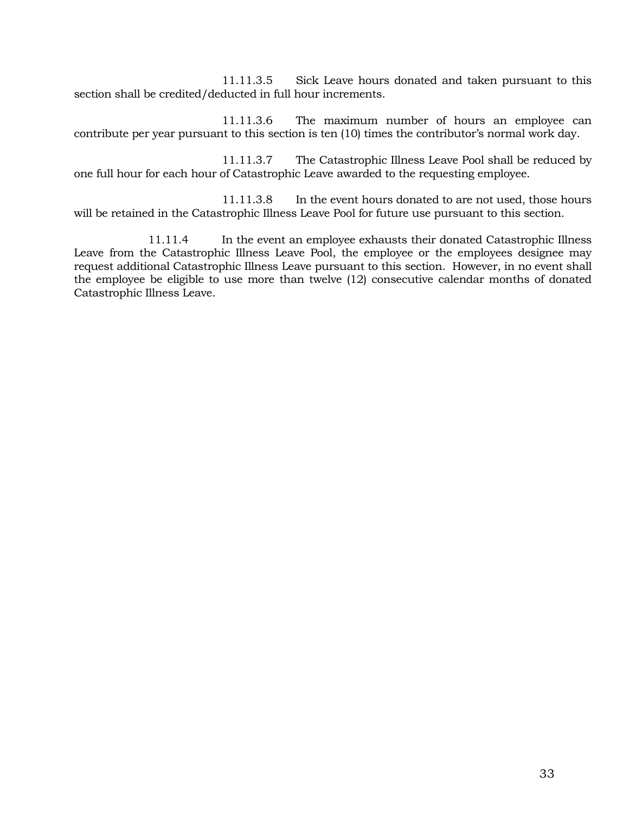11.11.3.5 Sick Leave hours donated and taken pursuant to this section shall be credited/deducted in full hour increments.

11.11.3.6 The maximum number of hours an employee can contribute per year pursuant to this section is ten (10) times the contributor's normal work day.

11.11.3.7 The Catastrophic Illness Leave Pool shall be reduced by one full hour for each hour of Catastrophic Leave awarded to the requesting employee.

11.11.3.8 In the event hours donated to are not used, those hours will be retained in the Catastrophic Illness Leave Pool for future use pursuant to this section.

11.11.4 In the event an employee exhausts their donated Catastrophic Illness Leave from the Catastrophic Illness Leave Pool, the employee or the employees designee may request additional Catastrophic Illness Leave pursuant to this section. However, in no event shall the employee be eligible to use more than twelve (12) consecutive calendar months of donated Catastrophic Illness Leave.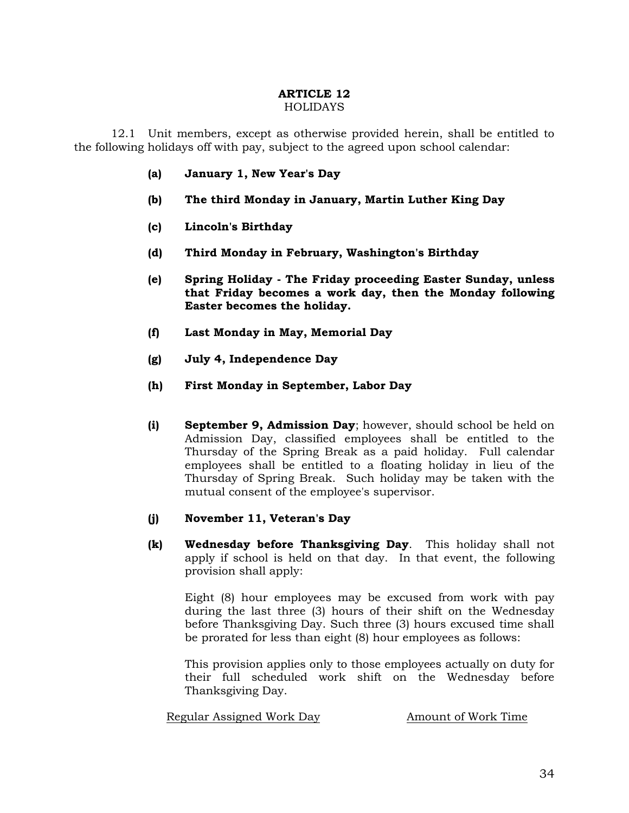#### **ARTICLE 12 HOLIDAYS**

12.1 Unit members, except as otherwise provided herein, shall be entitled to the following holidays off with pay, subject to the agreed upon school calendar:

- **(a) January 1, New Year's Day**
- **(b) The third Monday in January, Martin Luther King Day**
- **(c) Lincoln's Birthday**
- **(d) Third Monday in February, Washington's Birthday**
- **(e) Spring Holiday - The Friday proceeding Easter Sunday, unless that Friday becomes a work day, then the Monday following Easter becomes the holiday.**
- **(f) Last Monday in May, Memorial Day**
- **(g) July 4, Independence Day**
- **(h) First Monday in September, Labor Day**
- **(i) September 9, Admission Day**; however, should school be held on Admission Day, classified employees shall be entitled to the Thursday of the Spring Break as a paid holiday. Full calendar employees shall be entitled to a floating holiday in lieu of the Thursday of Spring Break. Such holiday may be taken with the mutual consent of the employee's supervisor.

#### **(j) November 11, Veteran's Day**

**(k) Wednesday before Thanksgiving Day**. This holiday shall not apply if school is held on that day. In that event, the following provision shall apply:

Eight (8) hour employees may be excused from work with pay during the last three (3) hours of their shift on the Wednesday before Thanksgiving Day. Such three (3) hours excused time shall be prorated for less than eight (8) hour employees as follows:

This provision applies only to those employees actually on duty for their full scheduled work shift on the Wednesday before Thanksgiving Day.

Regular Assigned Work Day Amount of Work Time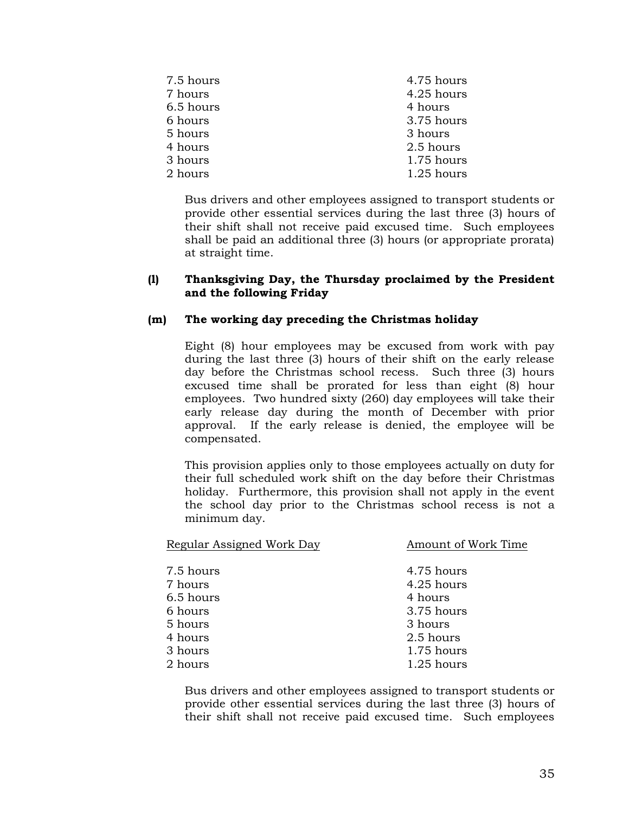| 7.5 hours | 4.75 hours   |
|-----------|--------------|
| 7 hours   | 4.25 hours   |
| 6.5 hours | 4 hours      |
| 6 hours   | 3.75 hours   |
| 5 hours   | 3 hours      |
| 4 hours   | 2.5 hours    |
| 3 hours   | 1.75 hours   |
| 2 hours   | $1.25$ hours |
|           |              |

Bus drivers and other employees assigned to transport students or provide other essential services during the last three (3) hours of their shift shall not receive paid excused time. Such employees shall be paid an additional three (3) hours (or appropriate prorata) at straight time.

# **(l) Thanksgiving Day, the Thursday proclaimed by the President and the following Friday**

# **(m) The working day preceding the Christmas holiday**

Eight (8) hour employees may be excused from work with pay during the last three (3) hours of their shift on the early release day before the Christmas school recess. Such three (3) hours excused time shall be prorated for less than eight (8) hour employees. Two hundred sixty (260) day employees will take their early release day during the month of December with prior approval. If the early release is denied, the employee will be compensated.

This provision applies only to those employees actually on duty for their full scheduled work shift on the day before their Christmas holiday. Furthermore, this provision shall not apply in the event the school day prior to the Christmas school recess is not a minimum day.

| Regular Assigned Work Day | Amount of Work Time |  |
|---------------------------|---------------------|--|
|                           |                     |  |
| 7.5 hours                 | 4.75 hours          |  |
| 7 hours                   | 4.25 hours          |  |
| 6.5 hours                 | 4 hours             |  |
| 6 hours                   | 3.75 hours          |  |
| 5 hours                   | 3 hours             |  |
| 4 hours                   | 2.5 hours           |  |
| 3 hours                   | 1.75 hours          |  |
| 2 hours                   | 1.25 hours          |  |

Bus drivers and other employees assigned to transport students or provide other essential services during the last three (3) hours of their shift shall not receive paid excused time. Such employees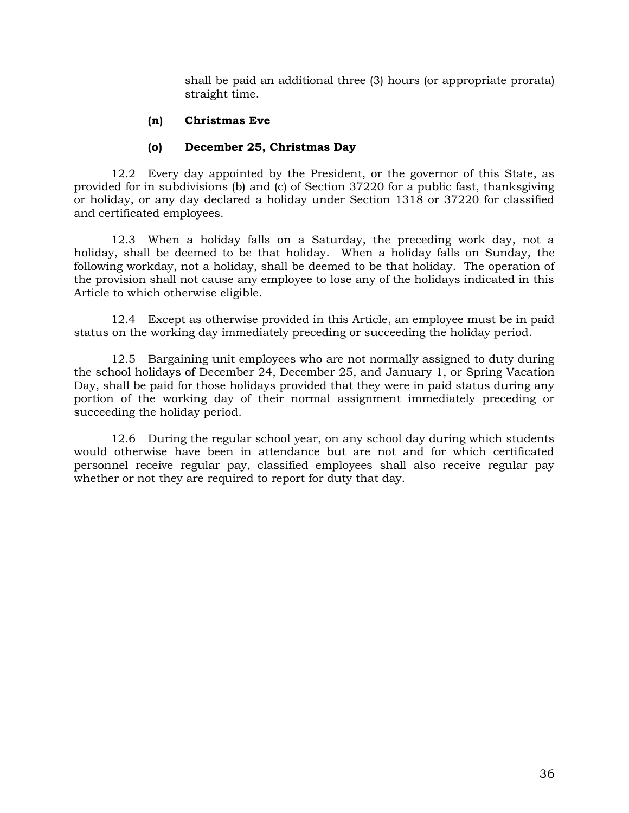shall be paid an additional three (3) hours (or appropriate prorata) straight time.

# **(n) Christmas Eve**

# **(o) December 25, Christmas Day**

12.2 Every day appointed by the President, or the governor of this State, as provided for in subdivisions (b) and (c) of Section 37220 for a public fast, thanksgiving or holiday, or any day declared a holiday under Section 1318 or 37220 for classified and certificated employees.

12.3 When a holiday falls on a Saturday, the preceding work day, not a holiday, shall be deemed to be that holiday. When a holiday falls on Sunday, the following workday, not a holiday, shall be deemed to be that holiday. The operation of the provision shall not cause any employee to lose any of the holidays indicated in this Article to which otherwise eligible.

12.4 Except as otherwise provided in this Article, an employee must be in paid status on the working day immediately preceding or succeeding the holiday period.

12.5 Bargaining unit employees who are not normally assigned to duty during the school holidays of December 24, December 25, and January 1, or Spring Vacation Day, shall be paid for those holidays provided that they were in paid status during any portion of the working day of their normal assignment immediately preceding or succeeding the holiday period.

12.6 During the regular school year, on any school day during which students would otherwise have been in attendance but are not and for which certificated personnel receive regular pay, classified employees shall also receive regular pay whether or not they are required to report for duty that day.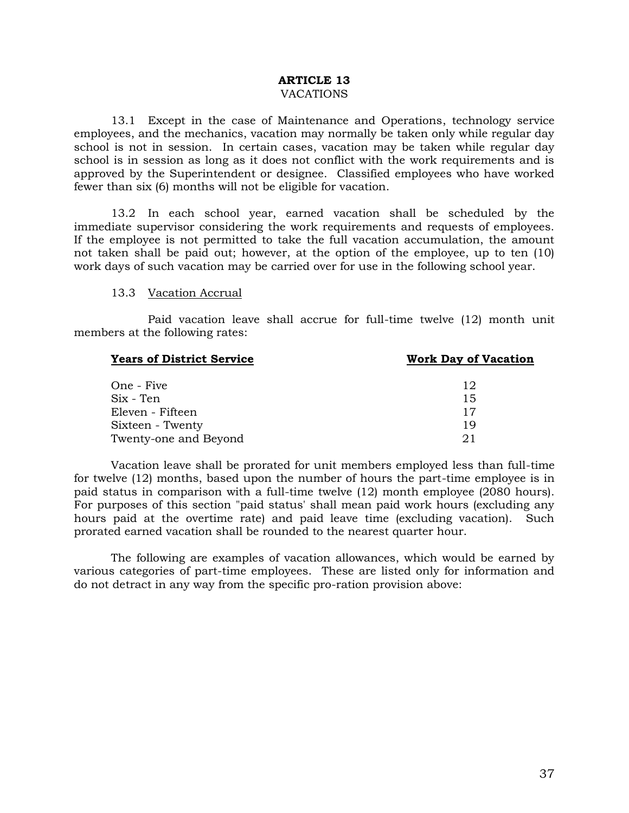#### **ARTICLE 13**  VACATIONS

13.1 Except in the case of Maintenance and Operations, technology service employees, and the mechanics, vacation may normally be taken only while regular day school is not in session. In certain cases, vacation may be taken while regular day school is in session as long as it does not conflict with the work requirements and is approved by the Superintendent or designee. Classified employees who have worked fewer than six (6) months will not be eligible for vacation.

13.2 In each school year, earned vacation shall be scheduled by the immediate supervisor considering the work requirements and requests of employees. If the employee is not permitted to take the full vacation accumulation, the amount not taken shall be paid out; however, at the option of the employee, up to ten (10) work days of such vacation may be carried over for use in the following school year.

# 13.3 Vacation Accrual

Paid vacation leave shall accrue for full-time twelve (12) month unit members at the following rates:

| <b>Years of District Service</b> | <b>Work Day of Vacation</b> |
|----------------------------------|-----------------------------|
| One - Five                       | 12                          |
| Six - Ten                        | 15                          |
| Eleven - Fifteen                 | 17                          |
| Sixteen - Twenty                 | 19                          |
| Twenty-one and Beyond            |                             |

Vacation leave shall be prorated for unit members employed less than full-time for twelve (12) months, based upon the number of hours the part-time employee is in paid status in comparison with a full-time twelve (12) month employee (2080 hours). For purposes of this section "paid status' shall mean paid work hours (excluding any hours paid at the overtime rate) and paid leave time (excluding vacation). Such prorated earned vacation shall be rounded to the nearest quarter hour.

The following are examples of vacation allowances, which would be earned by various categories of part-time employees. These are listed only for information and do not detract in any way from the specific pro-ration provision above: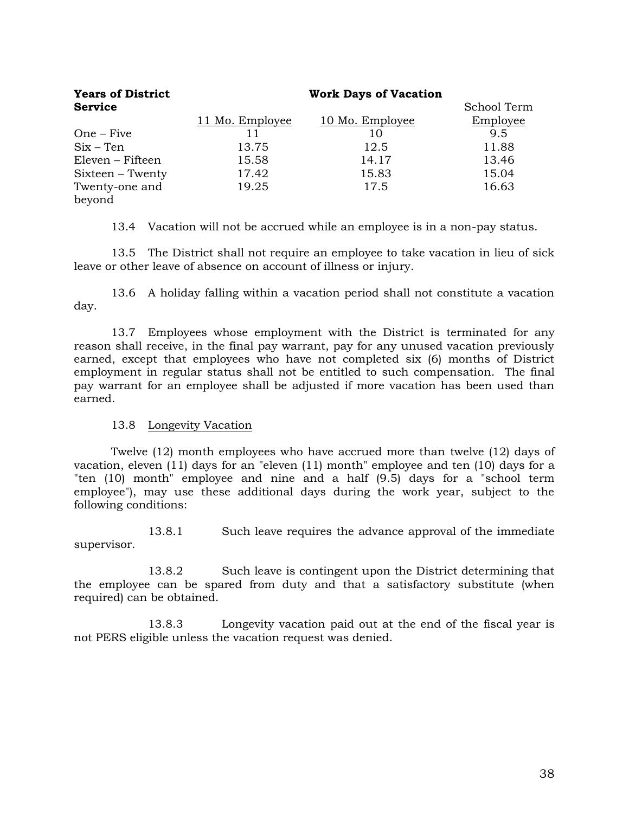| <b>Years of District</b> | <b>Work Days of Vacation</b> |                 |             |  |
|--------------------------|------------------------------|-----------------|-------------|--|
| <b>Service</b>           |                              |                 | School Term |  |
|                          | 11 Mo. Employee              | 10 Mo. Employee | Employee    |  |
| $One - Five$             | 11                           | 10              | 9.5         |  |
| $Six - Ten$              | 13.75                        | 12.5            | 11.88       |  |
| Eleven – Fifteen         | 15.58                        | 14.17           | 13.46       |  |
| Sixteen – Twenty         | 17.42                        | 15.83           | 15.04       |  |
| Twenty-one and           | 19.25                        | 17.5            | 16.63       |  |
| beyond                   |                              |                 |             |  |

13.4 Vacation will not be accrued while an employee is in a non-pay status.

13.5 The District shall not require an employee to take vacation in lieu of sick leave or other leave of absence on account of illness or injury.

13.6 A holiday falling within a vacation period shall not constitute a vacation day.

13.7 Employees whose employment with the District is terminated for any reason shall receive, in the final pay warrant, pay for any unused vacation previously earned, except that employees who have not completed six (6) months of District employment in regular status shall not be entitled to such compensation. The final pay warrant for an employee shall be adjusted if more vacation has been used than earned.

# 13.8 Longevity Vacation

Twelve (12) month employees who have accrued more than twelve (12) days of vacation, eleven (11) days for an "eleven (11) month" employee and ten (10) days for a "ten (10) month" employee and nine and a half (9.5) days for a "school term employee"), may use these additional days during the work year, subject to the following conditions:

13.8.1 Such leave requires the advance approval of the immediate supervisor.

13.8.2 Such leave is contingent upon the District determining that the employee can be spared from duty and that a satisfactory substitute (when required) can be obtained.

13.8.3 Longevity vacation paid out at the end of the fiscal year is not PERS eligible unless the vacation request was denied.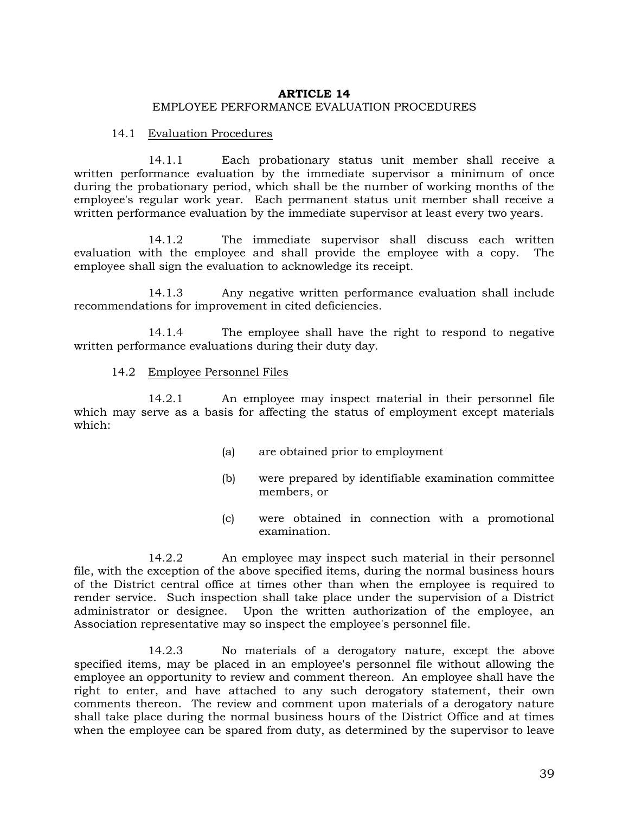# **ARTICLE 14** EMPLOYEE PERFORMANCE EVALUATION PROCEDURES

#### 14.1 Evaluation Procedures

14.1.1 Each probationary status unit member shall receive a written performance evaluation by the immediate supervisor a minimum of once during the probationary period, which shall be the number of working months of the employee's regular work year. Each permanent status unit member shall receive a written performance evaluation by the immediate supervisor at least every two years.

14.1.2 The immediate supervisor shall discuss each written evaluation with the employee and shall provide the employee with a copy. The employee shall sign the evaluation to acknowledge its receipt.

14.1.3 Any negative written performance evaluation shall include recommendations for improvement in cited deficiencies.

14.1.4 The employee shall have the right to respond to negative written performance evaluations during their duty day.

#### 14.2 Employee Personnel Files

14.2.1 An employee may inspect material in their personnel file which may serve as a basis for affecting the status of employment except materials which:

- (a) are obtained prior to employment
- (b) were prepared by identifiable examination committee members, or
- (c) were obtained in connection with a promotional examination.

14.2.2 An employee may inspect such material in their personnel file, with the exception of the above specified items, during the normal business hours of the District central office at times other than when the employee is required to render service. Such inspection shall take place under the supervision of a District administrator or designee. Upon the written authorization of the employee, an Association representative may so inspect the employee's personnel file.

14.2.3 No materials of a derogatory nature, except the above specified items, may be placed in an employee's personnel file without allowing the employee an opportunity to review and comment thereon. An employee shall have the right to enter, and have attached to any such derogatory statement, their own comments thereon. The review and comment upon materials of a derogatory nature shall take place during the normal business hours of the District Office and at times when the employee can be spared from duty, as determined by the supervisor to leave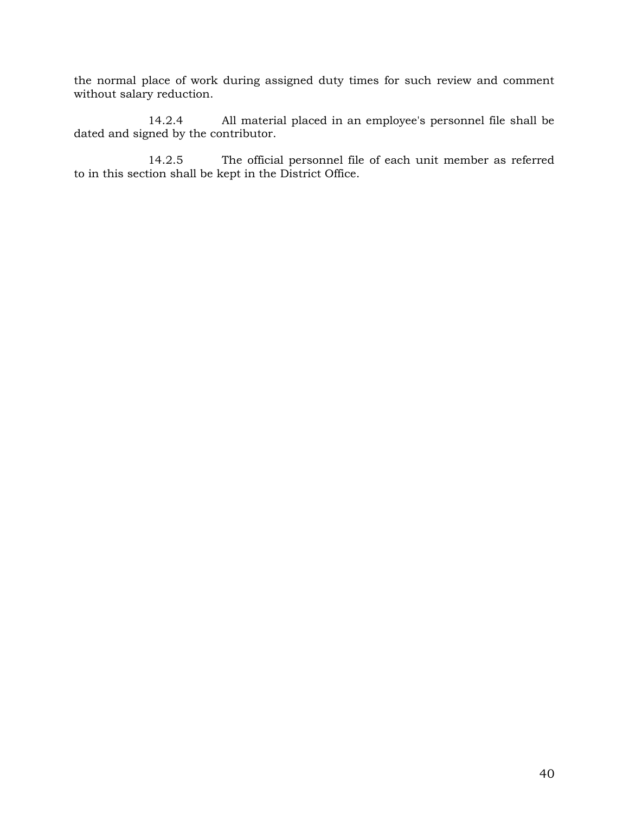the normal place of work during assigned duty times for such review and comment without salary reduction.

14.2.4 All material placed in an employee's personnel file shall be dated and signed by the contributor.

14.2.5 The official personnel file of each unit member as referred to in this section shall be kept in the District Office.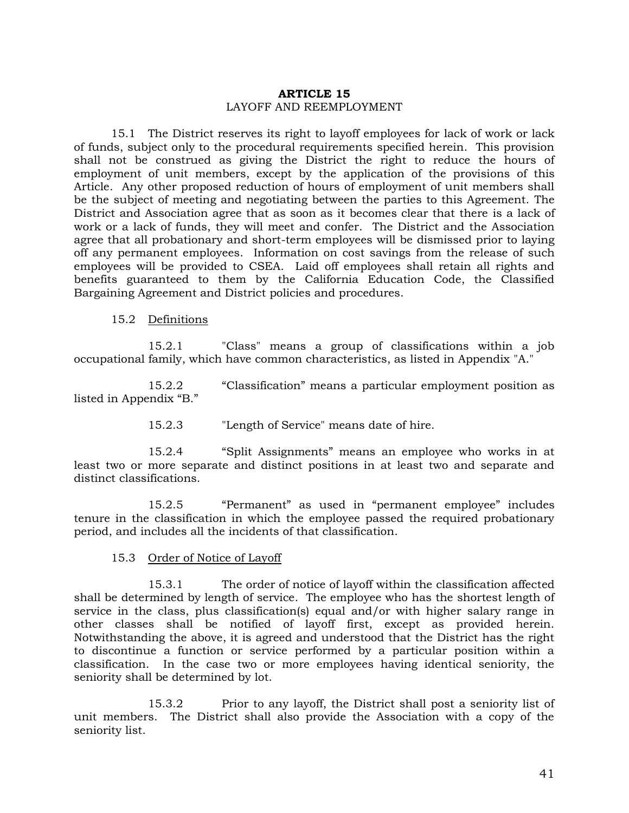#### **ARTICLE 15**  LAYOFF AND REEMPLOYMENT

15.1 The District reserves its right to layoff employees for lack of work or lack of funds, subject only to the procedural requirements specified herein. This provision shall not be construed as giving the District the right to reduce the hours of employment of unit members, except by the application of the provisions of this Article. Any other proposed reduction of hours of employment of unit members shall be the subject of meeting and negotiating between the parties to this Agreement. The District and Association agree that as soon as it becomes clear that there is a lack of work or a lack of funds, they will meet and confer. The District and the Association agree that all probationary and short-term employees will be dismissed prior to laying off any permanent employees. Information on cost savings from the release of such employees will be provided to CSEA. Laid off employees shall retain all rights and benefits guaranteed to them by the California Education Code, the Classified Bargaining Agreement and District policies and procedures.

15.2 Definitions

15.2.1 "Class" means a group of classifications within a job occupational family, which have common characteristics, as listed in Appendix "A."

15.2.2 "Classification" means a particular employment position as listed in Appendix "B."

15.2.3 "Length of Service" means date of hire.

15.2.4 "Split Assignments" means an employee who works in at least two or more separate and distinct positions in at least two and separate and distinct classifications.

15.2.5 "Permanent" as used in "permanent employee" includes tenure in the classification in which the employee passed the required probationary period, and includes all the incidents of that classification.

#### 15.3 Order of Notice of Layoff

15.3.1 The order of notice of layoff within the classification affected shall be determined by length of service. The employee who has the shortest length of service in the class, plus classification(s) equal and/or with higher salary range in other classes shall be notified of layoff first, except as provided herein. Notwithstanding the above, it is agreed and understood that the District has the right to discontinue a function or service performed by a particular position within a classification. In the case two or more employees having identical seniority, the seniority shall be determined by lot.

15.3.2 Prior to any layoff, the District shall post a seniority list of unit members. The District shall also provide the Association with a copy of the seniority list.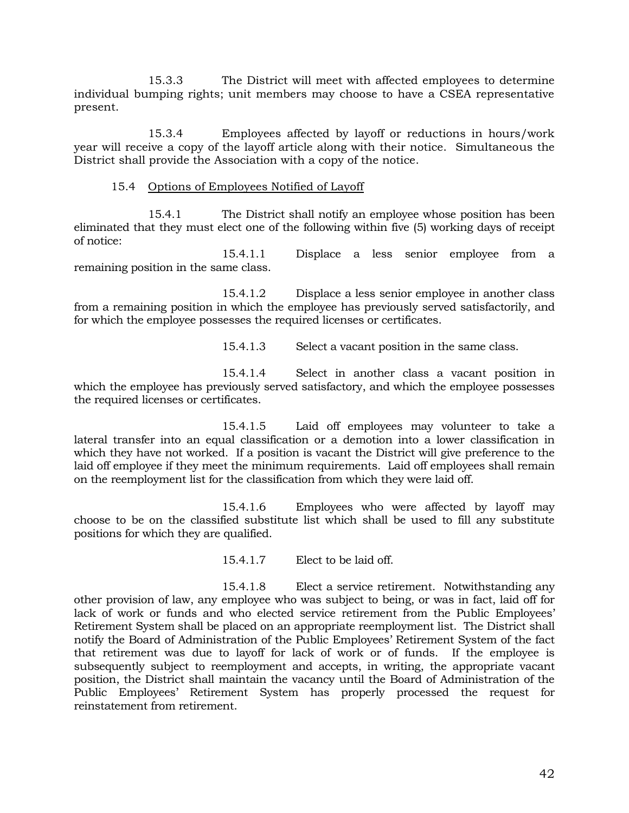15.3.3 The District will meet with affected employees to determine individual bumping rights; unit members may choose to have a CSEA representative present.

15.3.4 Employees affected by layoff or reductions in hours/work year will receive a copy of the layoff article along with their notice. Simultaneous the District shall provide the Association with a copy of the notice.

# 15.4 Options of Employees Notified of Layoff

15.4.1 The District shall notify an employee whose position has been eliminated that they must elect one of the following within five (5) working days of receipt of notice:

15.4.1.1 Displace a less senior employee from a remaining position in the same class.

15.4.1.2 Displace a less senior employee in another class from a remaining position in which the employee has previously served satisfactorily, and for which the employee possesses the required licenses or certificates.

15.4.1.3 Select a vacant position in the same class.

15.4.1.4 Select in another class a vacant position in which the employee has previously served satisfactory, and which the employee possesses the required licenses or certificates.

15.4.1.5 Laid off employees may volunteer to take a lateral transfer into an equal classification or a demotion into a lower classification in which they have not worked. If a position is vacant the District will give preference to the laid off employee if they meet the minimum requirements. Laid off employees shall remain on the reemployment list for the classification from which they were laid off.

15.4.1.6 Employees who were affected by layoff may choose to be on the classified substitute list which shall be used to fill any substitute positions for which they are qualified.

15.4.1.7 Elect to be laid off.

15.4.1.8 Elect a service retirement. Notwithstanding any other provision of law, any employee who was subject to being, or was in fact, laid off for lack of work or funds and who elected service retirement from the Public Employees' Retirement System shall be placed on an appropriate reemployment list. The District shall notify the Board of Administration of the Public Employees' Retirement System of the fact that retirement was due to layoff for lack of work or of funds. If the employee is subsequently subject to reemployment and accepts, in writing, the appropriate vacant position, the District shall maintain the vacancy until the Board of Administration of the Public Employees' Retirement System has properly processed the request for reinstatement from retirement.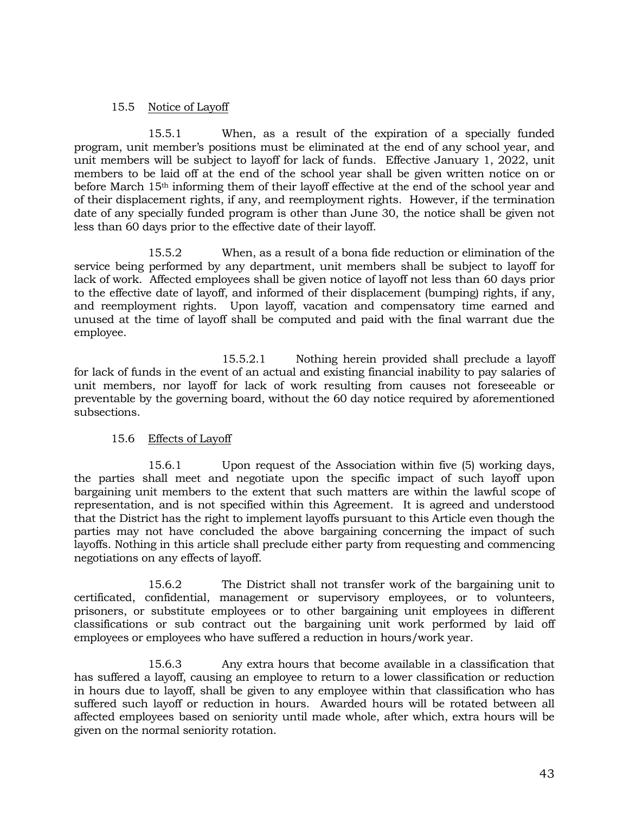# 15.5 Notice of Layoff

15.5.1 When, as a result of the expiration of a specially funded program, unit member's positions must be eliminated at the end of any school year, and unit members will be subject to layoff for lack of funds. Effective January 1, 2022, unit members to be laid off at the end of the school year shall be given written notice on or before March 15<sup>th</sup> informing them of their layoff effective at the end of the school year and of their displacement rights, if any, and reemployment rights. However, if the termination date of any specially funded program is other than June 30, the notice shall be given not less than 60 days prior to the effective date of their layoff.

15.5.2 When, as a result of a bona fide reduction or elimination of the service being performed by any department, unit members shall be subject to layoff for lack of work. Affected employees shall be given notice of layoff not less than 60 days prior to the effective date of layoff, and informed of their displacement (bumping) rights, if any, and reemployment rights. Upon layoff, vacation and compensatory time earned and unused at the time of layoff shall be computed and paid with the final warrant due the employee.

15.5.2.1 Nothing herein provided shall preclude a layoff for lack of funds in the event of an actual and existing financial inability to pay salaries of unit members, nor layoff for lack of work resulting from causes not foreseeable or preventable by the governing board, without the 60 day notice required by aforementioned subsections.

# 15.6 Effects of Layoff

15.6.1 Upon request of the Association within five (5) working days, the parties shall meet and negotiate upon the specific impact of such layoff upon bargaining unit members to the extent that such matters are within the lawful scope of representation, and is not specified within this Agreement. It is agreed and understood that the District has the right to implement layoffs pursuant to this Article even though the parties may not have concluded the above bargaining concerning the impact of such layoffs. Nothing in this article shall preclude either party from requesting and commencing negotiations on any effects of layoff.

15.6.2 The District shall not transfer work of the bargaining unit to certificated, confidential, management or supervisory employees, or to volunteers, prisoners, or substitute employees or to other bargaining unit employees in different classifications or sub contract out the bargaining unit work performed by laid off employees or employees who have suffered a reduction in hours/work year.

15.6.3 Any extra hours that become available in a classification that has suffered a layoff, causing an employee to return to a lower classification or reduction in hours due to layoff, shall be given to any employee within that classification who has suffered such layoff or reduction in hours. Awarded hours will be rotated between all affected employees based on seniority until made whole, after which, extra hours will be given on the normal seniority rotation.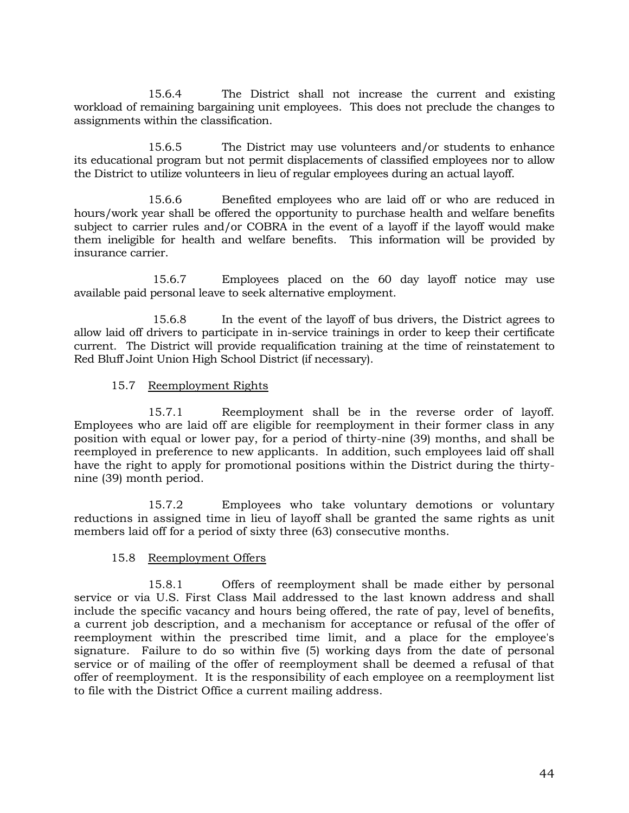15.6.4 The District shall not increase the current and existing workload of remaining bargaining unit employees. This does not preclude the changes to assignments within the classification.

15.6.5 The District may use volunteers and/or students to enhance its educational program but not permit displacements of classified employees nor to allow the District to utilize volunteers in lieu of regular employees during an actual layoff.

15.6.6 Benefited employees who are laid off or who are reduced in hours/work year shall be offered the opportunity to purchase health and welfare benefits subject to carrier rules and/or COBRA in the event of a layoff if the layoff would make them ineligible for health and welfare benefits. This information will be provided by insurance carrier.

15.6.7 Employees placed on the 60 day layoff notice may use available paid personal leave to seek alternative employment.

15.6.8 In the event of the layoff of bus drivers, the District agrees to allow laid off drivers to participate in in-service trainings in order to keep their certificate current. The District will provide requalification training at the time of reinstatement to Red Bluff Joint Union High School District (if necessary).

# 15.7 Reemployment Rights

15.7.1 Reemployment shall be in the reverse order of layoff. Employees who are laid off are eligible for reemployment in their former class in any position with equal or lower pay, for a period of thirty-nine (39) months, and shall be reemployed in preference to new applicants. In addition, such employees laid off shall have the right to apply for promotional positions within the District during the thirtynine (39) month period.

15.7.2 Employees who take voluntary demotions or voluntary reductions in assigned time in lieu of layoff shall be granted the same rights as unit members laid off for a period of sixty three (63) consecutive months.

# 15.8 Reemployment Offers

15.8.1 Offers of reemployment shall be made either by personal service or via U.S. First Class Mail addressed to the last known address and shall include the specific vacancy and hours being offered, the rate of pay, level of benefits, a current job description, and a mechanism for acceptance or refusal of the offer of reemployment within the prescribed time limit, and a place for the employee's signature. Failure to do so within five (5) working days from the date of personal service or of mailing of the offer of reemployment shall be deemed a refusal of that offer of reemployment. It is the responsibility of each employee on a reemployment list to file with the District Office a current mailing address.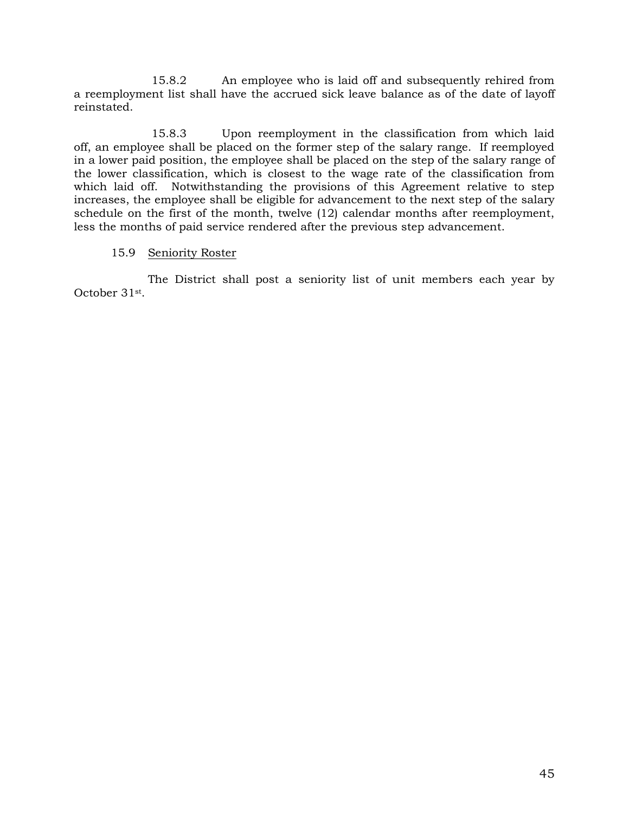15.8.2 An employee who is laid off and subsequently rehired from a reemployment list shall have the accrued sick leave balance as of the date of layoff reinstated.

15.8.3 Upon reemployment in the classification from which laid off, an employee shall be placed on the former step of the salary range. If reemployed in a lower paid position, the employee shall be placed on the step of the salary range of the lower classification, which is closest to the wage rate of the classification from which laid off. Notwithstanding the provisions of this Agreement relative to step increases, the employee shall be eligible for advancement to the next step of the salary schedule on the first of the month, twelve (12) calendar months after reemployment, less the months of paid service rendered after the previous step advancement.

# 15.9 Seniority Roster

The District shall post a seniority list of unit members each year by October 31st.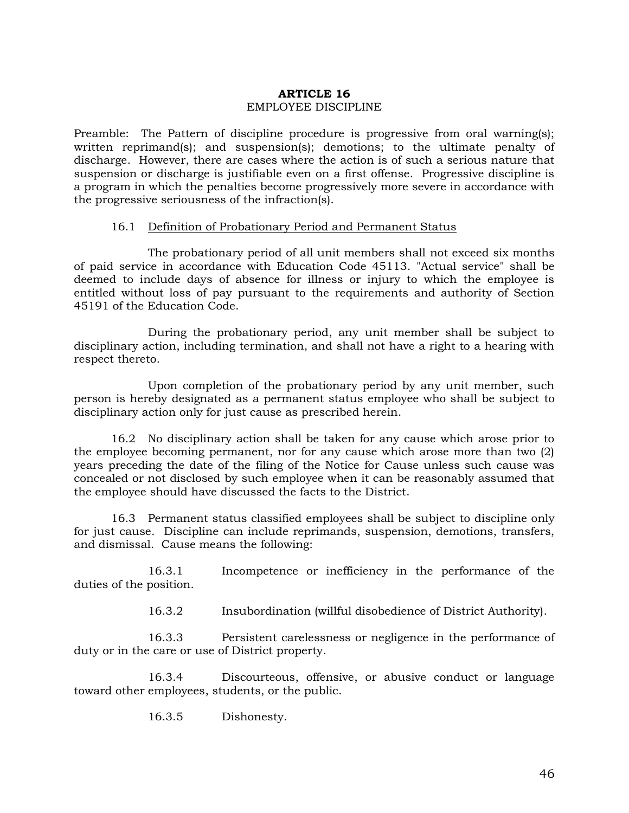# **ARTICLE 16** EMPLOYEE DISCIPLINE

Preamble: The Pattern of discipline procedure is progressive from oral warning(s); written reprimand(s); and suspension(s); demotions; to the ultimate penalty of discharge. However, there are cases where the action is of such a serious nature that suspension or discharge is justifiable even on a first offense. Progressive discipline is a program in which the penalties become progressively more severe in accordance with the progressive seriousness of the infraction(s).

#### 16.1 Definition of Probationary Period and Permanent Status

The probationary period of all unit members shall not exceed six months of paid service in accordance with Education Code 45113. "Actual service" shall be deemed to include days of absence for illness or injury to which the employee is entitled without loss of pay pursuant to the requirements and authority of Section 45191 of the Education Code.

During the probationary period, any unit member shall be subject to disciplinary action, including termination, and shall not have a right to a hearing with respect thereto.

Upon completion of the probationary period by any unit member, such person is hereby designated as a permanent status employee who shall be subject to disciplinary action only for just cause as prescribed herein.

16.2 No disciplinary action shall be taken for any cause which arose prior to the employee becoming permanent, nor for any cause which arose more than two (2) years preceding the date of the filing of the Notice for Cause unless such cause was concealed or not disclosed by such employee when it can be reasonably assumed that the employee should have discussed the facts to the District.

16.3 Permanent status classified employees shall be subject to discipline only for just cause. Discipline can include reprimands, suspension, demotions, transfers, and dismissal. Cause means the following:

16.3.1 Incompetence or inefficiency in the performance of the duties of the position.

16.3.2 Insubordination (willful disobedience of District Authority).

16.3.3 Persistent carelessness or negligence in the performance of duty or in the care or use of District property.

16.3.4 Discourteous, offensive, or abusive conduct or language toward other employees, students, or the public.

16.3.5 Dishonesty.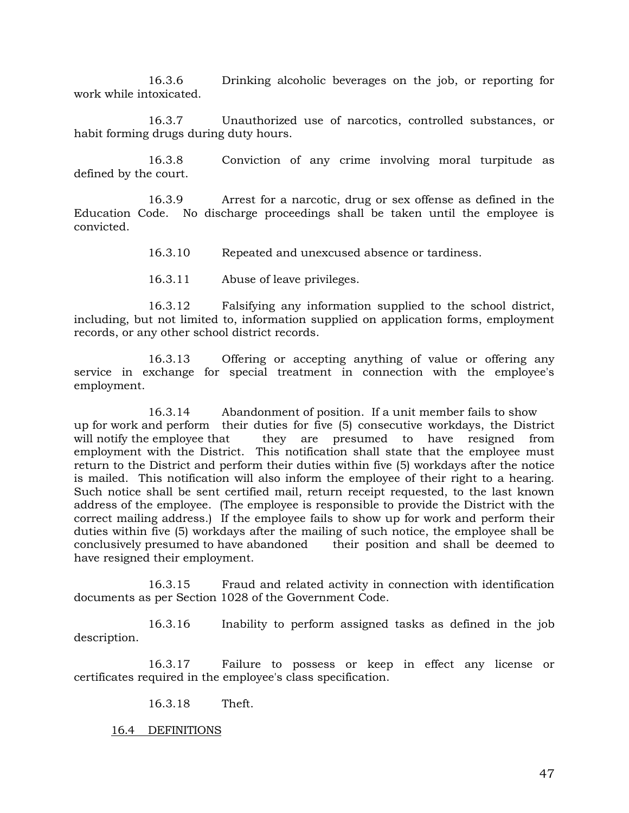16.3.6 Drinking alcoholic beverages on the job, or reporting for work while intoxicated.

16.3.7 Unauthorized use of narcotics, controlled substances, or habit forming drugs during duty hours.

16.3.8 Conviction of any crime involving moral turpitude as defined by the court.

16.3.9 Arrest for a narcotic, drug or sex offense as defined in the Education Code. No discharge proceedings shall be taken until the employee is convicted.

16.3.10 Repeated and unexcused absence or tardiness.

16.3.11 Abuse of leave privileges.

16.3.12 Falsifying any information supplied to the school district, including, but not limited to, information supplied on application forms, employment records, or any other school district records.

16.3.13 Offering or accepting anything of value or offering any service in exchange for special treatment in connection with the employee's employment.

16.3.14 Abandonment of position. If a unit member fails to show up for work and perform their duties for five (5) consecutive workdays, the District will notify the employee that they are presumed to have resigned from employment with the District. This notification shall state that the employee must return to the District and perform their duties within five (5) workdays after the notice is mailed. This notification will also inform the employee of their right to a hearing. Such notice shall be sent certified mail, return receipt requested, to the last known address of the employee. (The employee is responsible to provide the District with the correct mailing address.) If the employee fails to show up for work and perform their duties within five (5) workdays after the mailing of such notice, the employee shall be conclusively presumed to have abandoned their position and shall be deemed to have resigned their employment.

16.3.15 Fraud and related activity in connection with identification documents as per Section 1028 of the Government Code.

16.3.16 Inability to perform assigned tasks as defined in the job description.

16.3.17 Failure to possess or keep in effect any license or certificates required in the employee's class specification.

16.3.18 Theft.

16.4 DEFINITIONS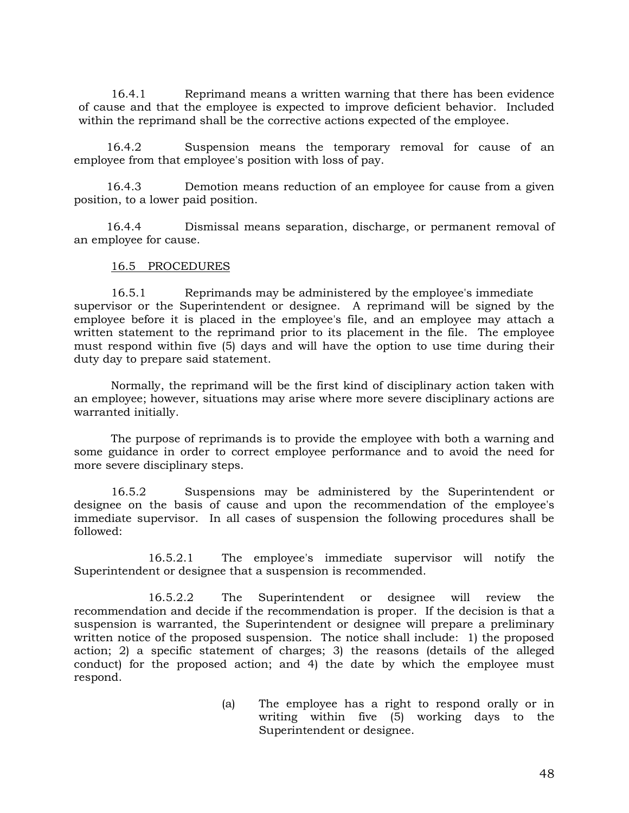16.4.1 Reprimand means a written warning that there has been evidence of cause and that the employee is expected to improve deficient behavior. Included within the reprimand shall be the corrective actions expected of the employee.

16.4.2 Suspension means the temporary removal for cause of an employee from that employee's position with loss of pay.

16.4.3 Demotion means reduction of an employee for cause from a given position, to a lower paid position.

16.4.4 Dismissal means separation, discharge, or permanent removal of an employee for cause.

#### 16.5 PROCEDURES

16.5.1 Reprimands may be administered by the employee's immediate supervisor or the Superintendent or designee. A reprimand will be signed by the employee before it is placed in the employee's file, and an employee may attach a written statement to the reprimand prior to its placement in the file. The employee must respond within five (5) days and will have the option to use time during their duty day to prepare said statement.

Normally, the reprimand will be the first kind of disciplinary action taken with an employee; however, situations may arise where more severe disciplinary actions are warranted initially.

The purpose of reprimands is to provide the employee with both a warning and some guidance in order to correct employee performance and to avoid the need for more severe disciplinary steps.

16.5.2 Suspensions may be administered by the Superintendent or designee on the basis of cause and upon the recommendation of the employee's immediate supervisor. In all cases of suspension the following procedures shall be followed:

16.5.2.1 The employee's immediate supervisor will notify the Superintendent or designee that a suspension is recommended.

16.5.2.2 The Superintendent or designee will review the recommendation and decide if the recommendation is proper. If the decision is that a suspension is warranted, the Superintendent or designee will prepare a preliminary written notice of the proposed suspension. The notice shall include: 1) the proposed action; 2) a specific statement of charges; 3) the reasons (details of the alleged conduct) for the proposed action; and 4) the date by which the employee must respond.

> (a) The employee has a right to respond orally or in writing within five (5) working days to the Superintendent or designee.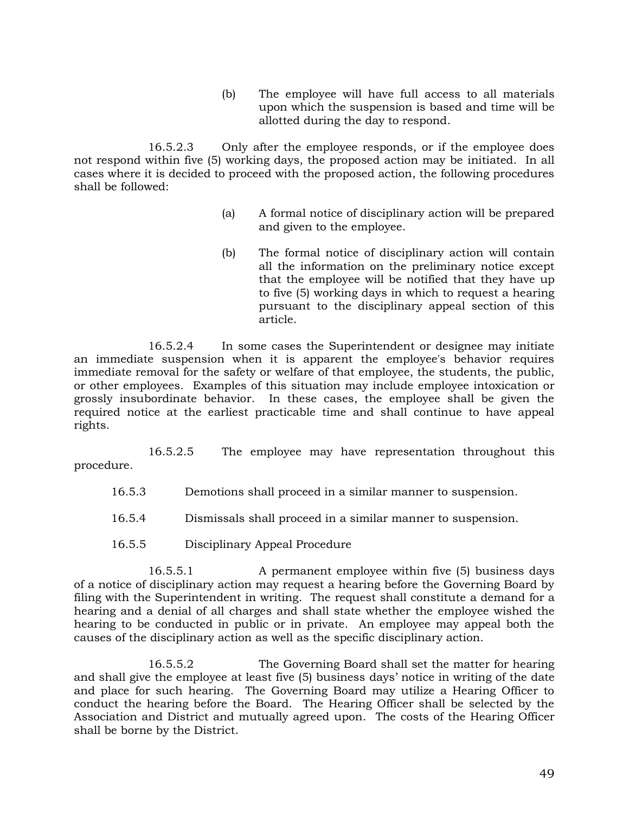(b) The employee will have full access to all materials upon which the suspension is based and time will be allotted during the day to respond.

16.5.2.3 Only after the employee responds, or if the employee does not respond within five (5) working days, the proposed action may be initiated. In all cases where it is decided to proceed with the proposed action, the following procedures shall be followed:

- (a) A formal notice of disciplinary action will be prepared and given to the employee.
- (b) The formal notice of disciplinary action will contain all the information on the preliminary notice except that the employee will be notified that they have up to five (5) working days in which to request a hearing pursuant to the disciplinary appeal section of this article.

16.5.2.4 In some cases the Superintendent or designee may initiate an immediate suspension when it is apparent the employee's behavior requires immediate removal for the safety or welfare of that employee, the students, the public, or other employees. Examples of this situation may include employee intoxication or grossly insubordinate behavior. In these cases, the employee shall be given the required notice at the earliest practicable time and shall continue to have appeal rights.

16.5.2.5 The employee may have representation throughout this procedure.

- 16.5.3 Demotions shall proceed in a similar manner to suspension.
- 16.5.4 Dismissals shall proceed in a similar manner to suspension.
- 16.5.5 Disciplinary Appeal Procedure

16.5.5.1 A permanent employee within five (5) business days of a notice of disciplinary action may request a hearing before the Governing Board by filing with the Superintendent in writing. The request shall constitute a demand for a hearing and a denial of all charges and shall state whether the employee wished the hearing to be conducted in public or in private. An employee may appeal both the causes of the disciplinary action as well as the specific disciplinary action.

16.5.5.2 The Governing Board shall set the matter for hearing and shall give the employee at least five (5) business days' notice in writing of the date and place for such hearing. The Governing Board may utilize a Hearing Officer to conduct the hearing before the Board. The Hearing Officer shall be selected by the Association and District and mutually agreed upon. The costs of the Hearing Officer shall be borne by the District.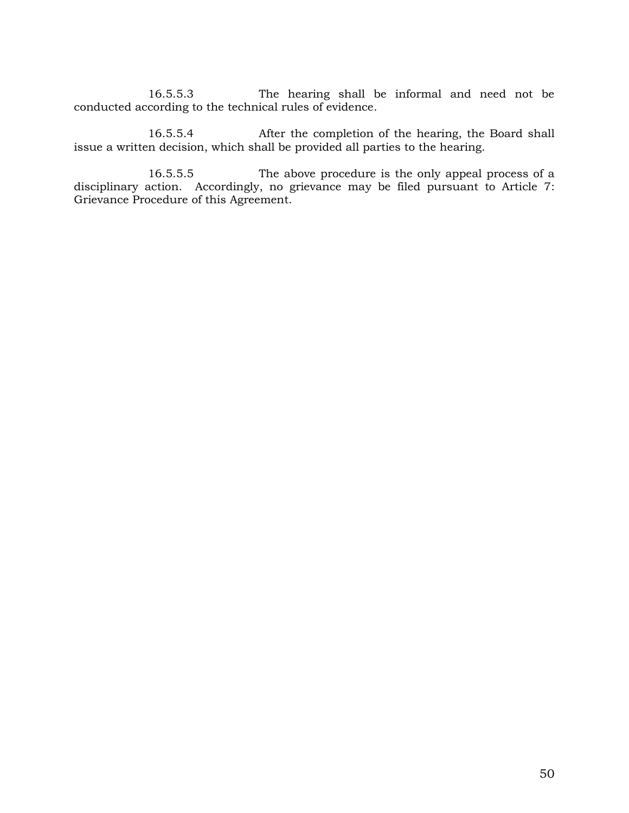16.5.5.3 The hearing shall be informal and need not be conducted according to the technical rules of evidence.

16.5.5.4 After the completion of the hearing, the Board shall issue a written decision, which shall be provided all parties to the hearing.

16.5.5.5 The above procedure is the only appeal process of a disciplinary action. Accordingly, no grievance may be filed pursuant to Article 7: Grievance Procedure of this Agreement.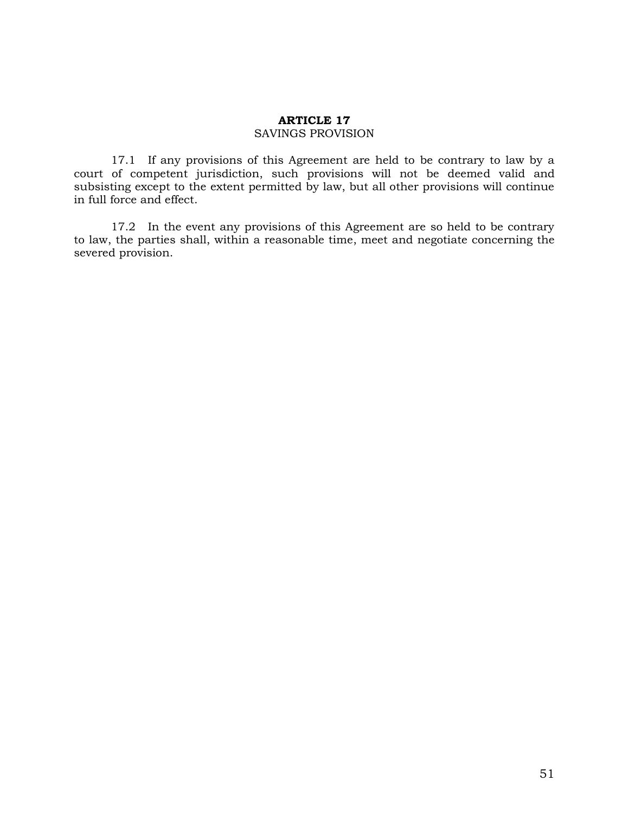# **ARTICLE 17**

#### SAVINGS PROVISION

17.1 If any provisions of this Agreement are held to be contrary to law by a court of competent jurisdiction, such provisions will not be deemed valid and subsisting except to the extent permitted by law, but all other provisions will continue in full force and effect.

17.2 In the event any provisions of this Agreement are so held to be contrary to law, the parties shall, within a reasonable time, meet and negotiate concerning the severed provision.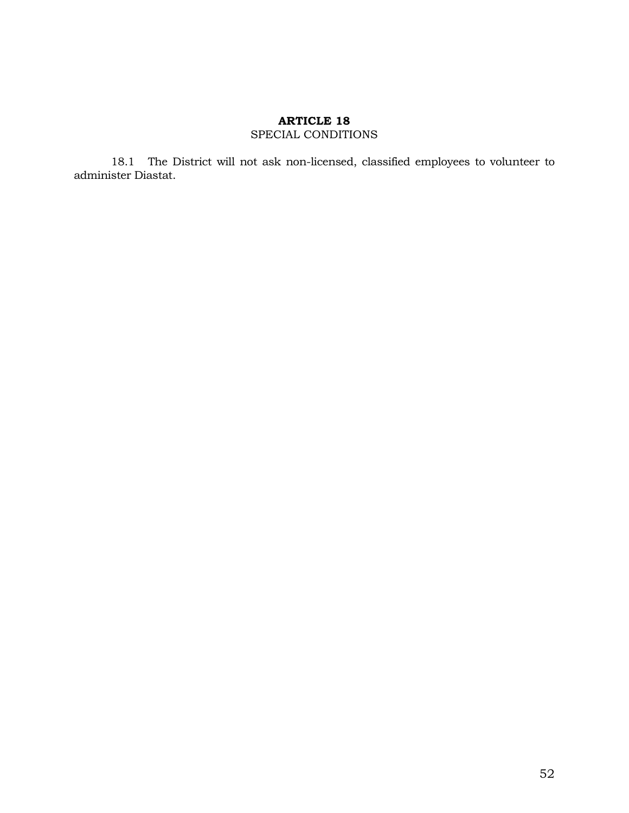# **ARTICLE 18** SPECIAL CONDITIONS

18.1 The District will not ask non-licensed, classified employees to volunteer to administer Diastat.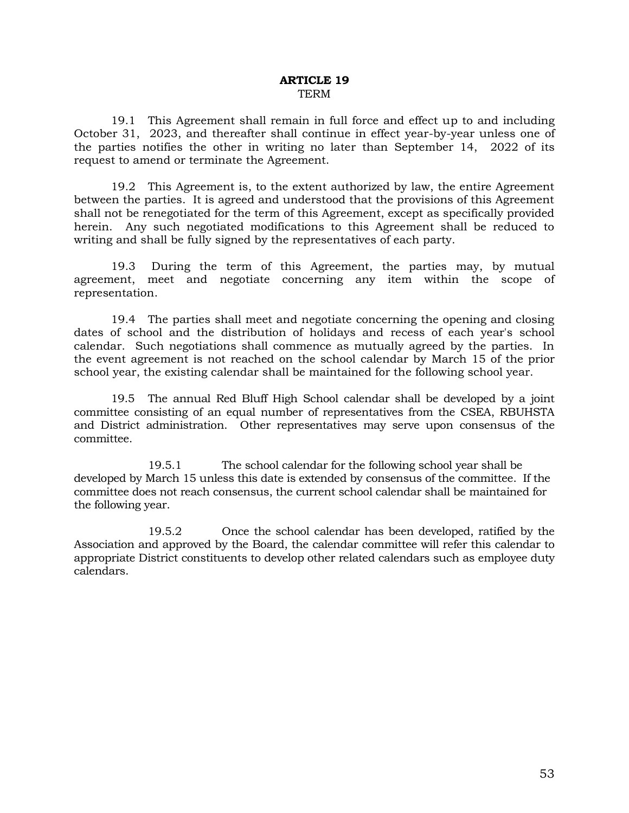#### **ARTICLE 19** TERM

19.1 This Agreement shall remain in full force and effect up to and including October 31, 2023, and thereafter shall continue in effect year-by-year unless one of the parties notifies the other in writing no later than September 14, 2022 of its request to amend or terminate the Agreement.

19.2 This Agreement is, to the extent authorized by law, the entire Agreement between the parties. It is agreed and understood that the provisions of this Agreement shall not be renegotiated for the term of this Agreement, except as specifically provided herein. Any such negotiated modifications to this Agreement shall be reduced to writing and shall be fully signed by the representatives of each party.

19.3 During the term of this Agreement, the parties may, by mutual agreement, meet and negotiate concerning any item within the scope of representation.

19.4 The parties shall meet and negotiate concerning the opening and closing dates of school and the distribution of holidays and recess of each year's school calendar. Such negotiations shall commence as mutually agreed by the parties. In the event agreement is not reached on the school calendar by March 15 of the prior school year, the existing calendar shall be maintained for the following school year.

19.5 The annual Red Bluff High School calendar shall be developed by a joint committee consisting of an equal number of representatives from the CSEA, RBUHSTA and District administration. Other representatives may serve upon consensus of the committee.

19.5.1 The school calendar for the following school year shall be developed by March 15 unless this date is extended by consensus of the committee. If the committee does not reach consensus, the current school calendar shall be maintained for the following year.

19.5.2 Once the school calendar has been developed, ratified by the Association and approved by the Board, the calendar committee will refer this calendar to appropriate District constituents to develop other related calendars such as employee duty calendars.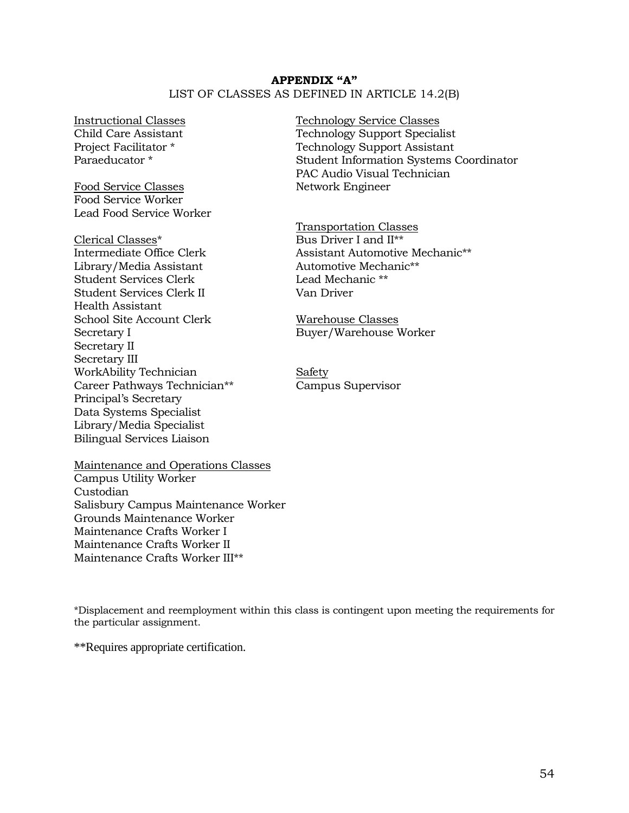# **APPENDIX "A"** LIST OF CLASSES AS DEFINED IN ARTICLE 14.2(B)

Food Service Classes Network Engineer Food Service Worker Lead Food Service Worker

Clerical Classes\* Bus Driver I and II\*\* Library/Media Assistant Automotive Mechanic\*\* Student Services Clerk Lead Mechanic \*\* Student Services Clerk II Van Driver Health Assistant School Site Account Clerk Warehouse Classes Secretary I Buyer/Warehouse Worker Secretary II Secretary III WorkAbility Technician Safety Career Pathways Technician\*\* Campus Supervisor Principal's Secretary Data Systems Specialist Library/Media Specialist Bilingual Services Liaison

Maintenance and Operations Classes Campus Utility Worker Custodian Salisbury Campus Maintenance Worker Grounds Maintenance Worker Maintenance Crafts Worker I Maintenance Crafts Worker II Maintenance Crafts Worker III\*\*

Instructional Classes Technology Service Classes Child Care Assistant Technology Support Specialist Project Facilitator \* Technology Support Assistant Paraeducator \* Student Information Systems Coordinator PAC Audio Visual Technician

Transportation Classes Intermediate Office Clerk Assistant Automotive Mechanic\*\*

\*Displacement and reemployment within this class is contingent upon meeting the requirements for the particular assignment.

\*\*Requires appropriate certification.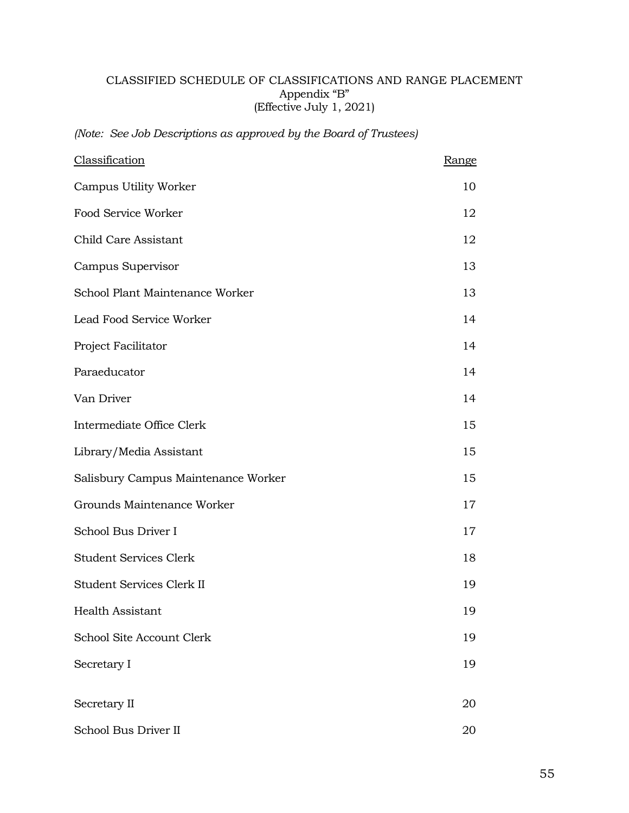# CLASSIFIED SCHEDULE OF CLASSIFICATIONS AND RANGE PLACEMENT Appendix "B" (Effective July 1, 2021)

*(Note: See Job Descriptions as approved by the Board of Trustees)*

| Classification                      | Range |
|-------------------------------------|-------|
| Campus Utility Worker               | 10    |
| Food Service Worker                 | 12    |
| Child Care Assistant                | 12    |
| Campus Supervisor                   | 13    |
| School Plant Maintenance Worker     | 13    |
| Lead Food Service Worker            | 14    |
| Project Facilitator                 | 14    |
| Paraeducator                        | 14    |
| Van Driver                          | 14    |
| Intermediate Office Clerk           | 15    |
| Library/Media Assistant             | 15    |
| Salisbury Campus Maintenance Worker | 15    |
| Grounds Maintenance Worker          | 17    |
| School Bus Driver I                 | 17    |
| <b>Student Services Clerk</b>       | 18    |
| Student Services Clerk II           | 19    |
| Health Assistant                    | 19    |
| School Site Account Clerk           | 19    |
| Secretary I                         | 19    |
| Secretary II                        | 20    |
| School Bus Driver II                | 20    |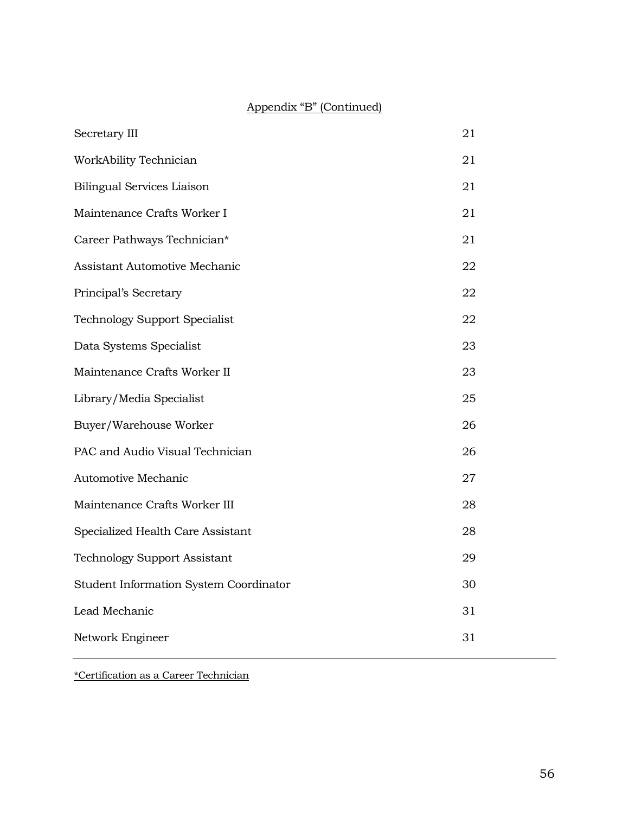# Appendix "B" (Continued)

| Secretary III                          | 21 |
|----------------------------------------|----|
| WorkAbility Technician                 | 21 |
| <b>Bilingual Services Liaison</b>      | 21 |
| Maintenance Crafts Worker I            | 21 |
| Career Pathways Technician*            | 21 |
| Assistant Automotive Mechanic          | 22 |
| Principal's Secretary                  | 22 |
| <b>Technology Support Specialist</b>   | 22 |
| Data Systems Specialist                | 23 |
| Maintenance Crafts Worker II           | 23 |
| Library/Media Specialist               | 25 |
| Buyer/Warehouse Worker                 | 26 |
| PAC and Audio Visual Technician        | 26 |
| Automotive Mechanic                    | 27 |
| Maintenance Crafts Worker III          | 28 |
| Specialized Health Care Assistant      | 28 |
| <b>Technology Support Assistant</b>    | 29 |
| Student Information System Coordinator | 30 |
| Lead Mechanic                          | 31 |
| Network Engineer                       | 31 |
|                                        |    |

\*Certification as a Career Technician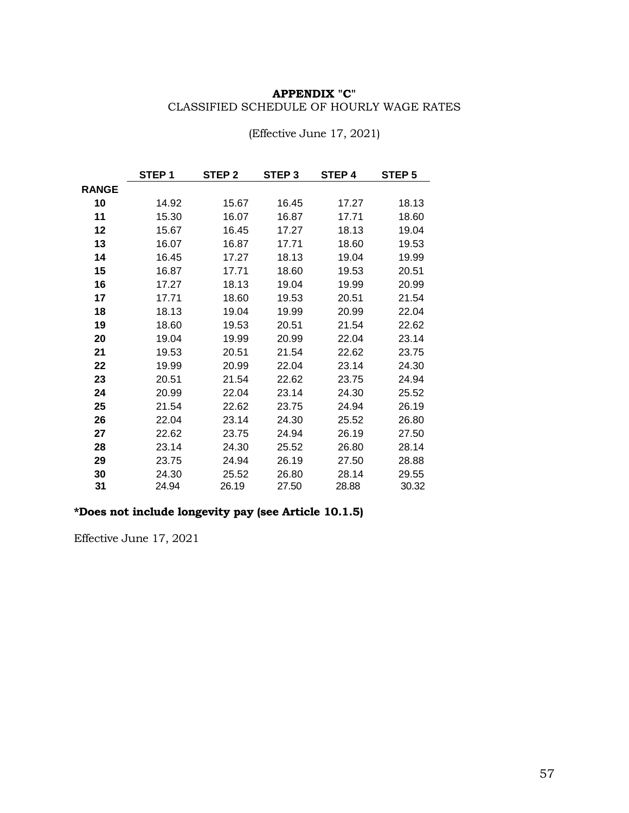# **APPENDIX "C"**  CLASSIFIED SCHEDULE OF HOURLY WAGE RATES

|              | STEP <sub>1</sub> | STEP <sub>2</sub> | STEP <sub>3</sub> | STEP 4 | STEP 5 |
|--------------|-------------------|-------------------|-------------------|--------|--------|
| <b>RANGE</b> |                   |                   |                   |        |        |
| 10           | 14.92             | 15.67             | 16.45             | 17.27  | 18.13  |
| 11           | 15.30             | 16.07             | 16.87             | 17.71  | 18.60  |
| 12           | 15.67             | 16.45             | 17.27             | 18.13  | 19.04  |
| 13           | 16.07             | 16.87             | 17.71             | 18.60  | 19.53  |
| 14           | 16.45             | 17.27             | 18.13             | 19.04  | 19.99  |
| 15           | 16.87             | 17.71             | 18.60             | 19.53  | 20.51  |
| 16           | 17.27             | 18.13             | 19.04             | 19.99  | 20.99  |
| 17           | 17.71             | 18.60             | 19.53             | 20.51  | 21.54  |
| 18           | 18.13             | 19.04             | 19.99             | 20.99  | 22.04  |
| 19           | 18.60             | 19.53             | 20.51             | 21.54  | 22.62  |
| 20           | 19.04             | 19.99             | 20.99             | 22.04  | 23.14  |
| 21           | 19.53             | 20.51             | 21.54             | 22.62  | 23.75  |
| 22           | 19.99             | 20.99             | 22.04             | 23.14  | 24.30  |
| 23           | 20.51             | 21.54             | 22.62             | 23.75  | 24.94  |
| 24           | 20.99             | 22.04             | 23.14             | 24.30  | 25.52  |
| 25           | 21.54             | 22.62             | 23.75             | 24.94  | 26.19  |
| 26           | 22.04             | 23.14             | 24.30             | 25.52  | 26.80  |
| 27           | 22.62             | 23.75             | 24.94             | 26.19  | 27.50  |
| 28           | 23.14             | 24.30             | 25.52             | 26.80  | 28.14  |
| 29           | 23.75             | 24.94             | 26.19             | 27.50  | 28.88  |
| 30           | 24.30             | 25.52             | 26.80             | 28.14  | 29.55  |
| 31           | 24.94             | 26.19             | 27.50             | 28.88  | 30.32  |

(Effective June 17, 2021)

# **\*Does not include longevity pay (see Article 10.1.5)**

Effective June 17, 2021